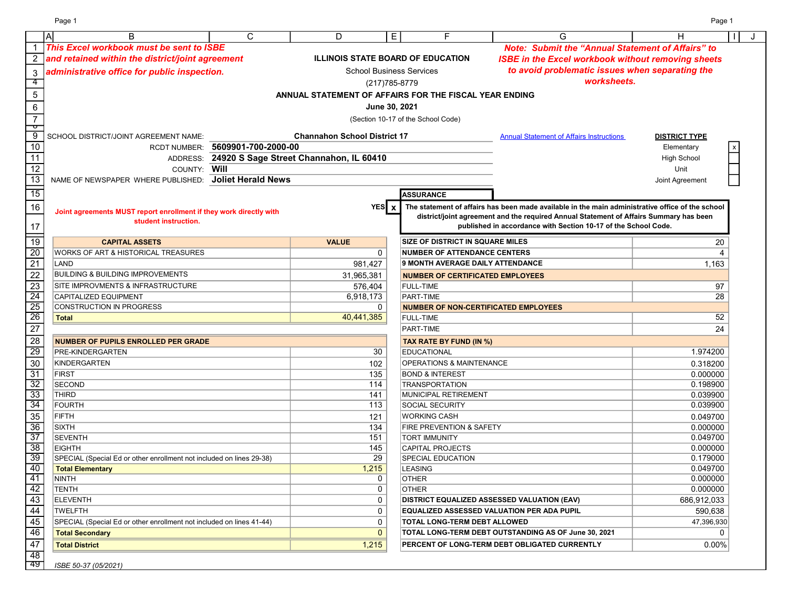|                        | $\mathsf{A}$<br>B                                                                      | $\mathsf{C}$                     | D                                                      | E<br>F                                      | G                                                                                                                                                                                          | н                    |  |
|------------------------|----------------------------------------------------------------------------------------|----------------------------------|--------------------------------------------------------|---------------------------------------------|--------------------------------------------------------------------------------------------------------------------------------------------------------------------------------------------|----------------------|--|
|                        | This Excel workbook must be sent to ISBE                                               |                                  |                                                        |                                             | <b>Note: Submit the "Annual Statement of Affairs" to</b>                                                                                                                                   |                      |  |
|                        | and retained within the district/joint agreement                                       |                                  |                                                        | <b>ILLINOIS STATE BOARD OF EDUCATION</b>    | <b>ISBE in the Excel workbook without removing sheets</b>                                                                                                                                  |                      |  |
|                        | administrative office for public inspection.                                           |                                  |                                                        | <b>School Business Services</b>             | to avoid problematic issues when separating the                                                                                                                                            |                      |  |
| 4                      |                                                                                        |                                  |                                                        | (217) 785-8779                              | worksheets.                                                                                                                                                                                |                      |  |
| $\sqrt{5}$             |                                                                                        |                                  | ANNUAL STATEMENT OF AFFAIRS FOR THE FISCAL YEAR ENDING |                                             |                                                                                                                                                                                            |                      |  |
|                        |                                                                                        |                                  |                                                        |                                             |                                                                                                                                                                                            |                      |  |
| 6                      |                                                                                        |                                  |                                                        | June 30, 2021                               |                                                                                                                                                                                            |                      |  |
| $\overline{7}$<br>᠊ᠣ   |                                                                                        |                                  |                                                        | (Section 10-17 of the School Code)          |                                                                                                                                                                                            |                      |  |
| ्रु                    | SCHOOL DISTRICT/JOINT AGREEMENT NAME:                                                  |                                  | <b>Channahon School District 17</b>                    |                                             | <b>Annual Statement of Affairs Instructions</b>                                                                                                                                            | <b>DISTRICT TYPE</b> |  |
| $\overline{10}$        |                                                                                        | RCDT NUMBER: 5609901-700-2000-00 |                                                        |                                             |                                                                                                                                                                                            | Elementary           |  |
| 11                     |                                                                                        |                                  | ADDRESS: 24920 S Sage Street Channahon, IL 60410       |                                             |                                                                                                                                                                                            | <b>High School</b>   |  |
| 12                     | COUNTY:                                                                                | Will                             |                                                        |                                             |                                                                                                                                                                                            | Unit                 |  |
| $\overline{13}$        | NAME OF NEWSPAPER WHERE PUBLISHED:                                                     | <b>Joliet Herald News</b>        |                                                        |                                             |                                                                                                                                                                                            | Joint Agreement      |  |
| $\overline{15}$        |                                                                                        |                                  |                                                        | <b>ASSURANCE</b>                            |                                                                                                                                                                                            |                      |  |
|                        |                                                                                        |                                  |                                                        |                                             |                                                                                                                                                                                            |                      |  |
| 16                     | Joint agreements MUST report enrollment if they work directly with                     |                                  | $YES$ $x$                                              |                                             | The statement of affairs has been made available in the main administrative office of the school<br>district/joint agreement and the required Annual Statement of Affairs Summary has been |                      |  |
|                        | student instruction.                                                                   |                                  |                                                        |                                             | published in accordance with Section 10-17 of the School Code.                                                                                                                             |                      |  |
| 17                     |                                                                                        |                                  |                                                        |                                             |                                                                                                                                                                                            |                      |  |
| $\overline{19}$        | <b>CAPITAL ASSETS</b>                                                                  |                                  | <b>VALUE</b>                                           | <b>SIZE OF DISTRICT IN SQUARE MILES</b>     |                                                                                                                                                                                            | 20                   |  |
| $\overline{20}$        | <b>WORKS OF ART &amp; HISTORICAL TREASURES</b>                                         |                                  | 0                                                      | <b>NUMBER OF ATTENDANCE CENTERS</b>         |                                                                                                                                                                                            | 4                    |  |
| $\overline{21}$        | LAND                                                                                   |                                  | 981,427                                                | 9 MONTH AVERAGE DAILY ATTENDANCE            |                                                                                                                                                                                            | 1,163                |  |
| $\overline{22}$        | <b>BUILDING &amp; BUILDING IMPROVEMENTS</b>                                            |                                  | 31,965,381                                             | <b>NUMBER OF CERTIFICATED EMPLOYEES</b>     |                                                                                                                                                                                            |                      |  |
| $\overline{23}$        | <b>SITE IMPROVMENTS &amp; INFRASTRUCTURE</b>                                           |                                  | 576,404                                                | <b>FULL-TIME</b>                            |                                                                                                                                                                                            | 97                   |  |
| $\overline{24}$        | CAPITALIZED EQUIPMENT                                                                  |                                  | 6,918,173                                              | PART-TIME                                   |                                                                                                                                                                                            | 28                   |  |
| $\overline{25}$        | CONSTRUCTION IN PROGRESS                                                               |                                  | 0                                                      | <b>NUMBER OF NON-CERTIFICATED EMPLOYEES</b> |                                                                                                                                                                                            |                      |  |
| $\overline{26}$        | <b>Total</b>                                                                           |                                  | 40,441,385                                             | <b>FULL-TIME</b>                            |                                                                                                                                                                                            | 52                   |  |
| $\overline{27}$        |                                                                                        |                                  |                                                        | PART-TIME                                   |                                                                                                                                                                                            | 24                   |  |
| $\overline{28}$        | <b>NUMBER OF PUPILS ENROLLED PER GRADE</b>                                             |                                  |                                                        | TAX RATE BY FUND (IN %)                     |                                                                                                                                                                                            |                      |  |
| $\overline{29}$        | <b>PRE-KINDERGARTEN</b>                                                                |                                  | 30                                                     | <b>EDUCATIONAL</b>                          |                                                                                                                                                                                            | 1.974200             |  |
| 30                     | <b>KINDERGARTEN</b>                                                                    |                                  | 102                                                    | <b>OPERATIONS &amp; MAINTENANCE</b>         |                                                                                                                                                                                            | 0.318200             |  |
| $\overline{31}$        | <b>FIRST</b>                                                                           |                                  | 135                                                    | <b>BOND &amp; INTEREST</b>                  |                                                                                                                                                                                            | 0.000000             |  |
| $\overline{32}$        | <b>SECOND</b>                                                                          |                                  | 114                                                    | <b>TRANSPORTATION</b>                       |                                                                                                                                                                                            | 0.198900             |  |
| $\overline{33}$        | <b>THIRD</b>                                                                           |                                  | 141                                                    | MUNICIPAL RETIREMENT                        |                                                                                                                                                                                            | 0.039900             |  |
| 34                     | <b>FOURTH</b>                                                                          |                                  | 113                                                    | <b>SOCIAL SECURITY</b>                      |                                                                                                                                                                                            | 0.039900             |  |
| $\overline{35}$        | FIFTH                                                                                  |                                  | 121                                                    | <b>WORKING CASH</b>                         |                                                                                                                                                                                            | 0.049700             |  |
| $\overline{36}$        | <b>SIXTH</b>                                                                           |                                  | 134                                                    | <b>FIRE PREVENTION &amp; SAFETY</b>         |                                                                                                                                                                                            | 0.000000             |  |
| $\overline{37}$        | <b>SEVENTH</b>                                                                         |                                  | 151                                                    | <b>TORT IMMUNITY</b>                        |                                                                                                                                                                                            | 0.049700             |  |
| $\overline{38}$        | <b>EIGHTH</b>                                                                          |                                  | 145                                                    | <b>CAPITAL PROJECTS</b>                     |                                                                                                                                                                                            | 0.000000             |  |
| $\overline{39}$        | SPECIAL (Special Ed or other enrollment not included on lines 29-38)                   |                                  | 29                                                     | <b>SPECIAL EDUCATION</b>                    |                                                                                                                                                                                            | 0.179000             |  |
| 40                     | <b>Total Elementary</b>                                                                |                                  | 1,215                                                  | <b>LEASING</b>                              |                                                                                                                                                                                            | 0.049700             |  |
| 41<br>42               | NINTH                                                                                  |                                  | 0<br>0                                                 | <b>OTHER</b>                                |                                                                                                                                                                                            | 0.000000<br>0.000000 |  |
| 43                     | <b>TENTH</b><br><b>ELEVENTH</b>                                                        |                                  | 0                                                      | <b>OTHER</b>                                | <b>DISTRICT EQUALIZED ASSESSED VALUATION (EAV)</b>                                                                                                                                         | 686,912,033          |  |
| $\overline{44}$        |                                                                                        |                                  |                                                        |                                             |                                                                                                                                                                                            |                      |  |
| $\overline{45}$        | <b>TWELFTH</b><br>SPECIAL (Special Ed or other enrollment not included on lines 41-44) |                                  | 0<br>0                                                 |                                             | EQUALIZED ASSESSED VALUATION PER ADA PUPIL                                                                                                                                                 | 590,638              |  |
| 46                     |                                                                                        |                                  | $\mathbf{0}$                                           | TOTAL LONG-TERM DEBT ALLOWED                | TOTAL LONG-TERM DEBT OUTSTANDING AS OF June 30, 2021                                                                                                                                       | 47,396,930<br>0      |  |
|                        | <b>Total Secondary</b>                                                                 |                                  |                                                        |                                             |                                                                                                                                                                                            |                      |  |
| 47                     | <b>Total District</b>                                                                  |                                  | 1,215                                                  |                                             | PERCENT OF LONG-TERM DEBT OBLIGATED CURRENTLY                                                                                                                                              | 0.00%                |  |
| $\overline{48}$<br>-49 | ISBE 50-37 (05/2021)                                                                   |                                  |                                                        |                                             |                                                                                                                                                                                            |                      |  |

Page 1 Page 1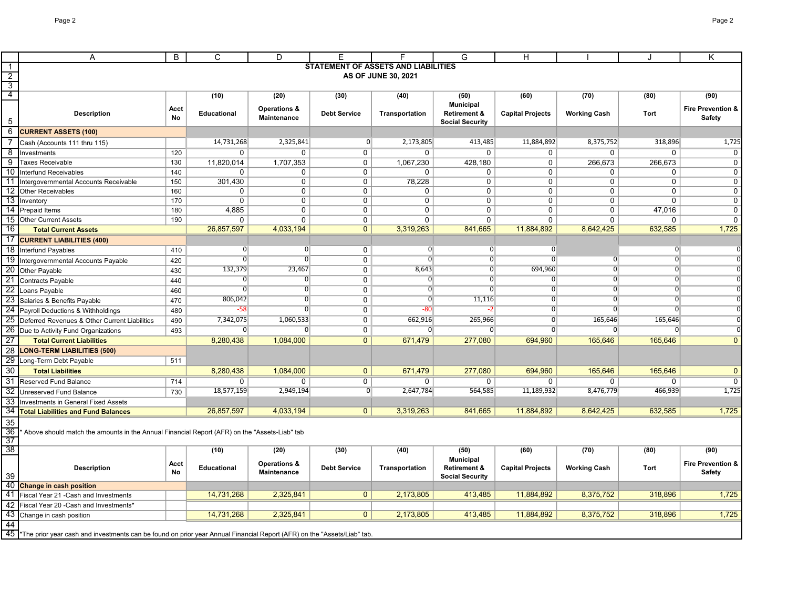|                     | A                                                                                                                                      | B          | C                      | D                       | Ε                   |                                            | G                                                 | H                       |                     | ۱.                  | Κ                             |
|---------------------|----------------------------------------------------------------------------------------------------------------------------------------|------------|------------------------|-------------------------|---------------------|--------------------------------------------|---------------------------------------------------|-------------------------|---------------------|---------------------|-------------------------------|
| $\overline{1}$      |                                                                                                                                        |            |                        |                         |                     | <b>STATEMENT OF ASSETS AND LIABILITIES</b> |                                                   |                         |                     |                     |                               |
| $\overline{2}$      |                                                                                                                                        |            |                        |                         |                     | AS OF JUNE 30, 2021                        |                                                   |                         |                     |                     |                               |
| $\overline{3}$      |                                                                                                                                        |            |                        |                         |                     |                                            |                                                   |                         |                     |                     |                               |
| $\overline{4}$      |                                                                                                                                        |            | (10)                   | (20)                    | (30)                | (40)                                       | (50)                                              | (60)                    | (70)                | (80)                | (90)                          |
|                     |                                                                                                                                        | Acct       |                        | <b>Operations &amp;</b> |                     |                                            | <b>Municipal</b>                                  |                         |                     |                     | <b>Fire Prevention &amp;</b>  |
| 5                   | <b>Description</b>                                                                                                                     | <b>No</b>  | <b>Educational</b>     | <b>Maintenance</b>      | <b>Debt Service</b> | Transportation                             | <b>Retirement &amp;</b>                           | <b>Capital Projects</b> | <b>Working Cash</b> | Tort                | Safety                        |
| 6                   | <b>CURRENT ASSETS (100)</b>                                                                                                            |            |                        |                         |                     |                                            | <b>Social Security</b>                            |                         |                     |                     |                               |
|                     |                                                                                                                                        |            | 14,731,268             | 2,325,841               | $\overline{0}$      | 2,173,805                                  |                                                   | 11,884,892              | 8,375,752           | 318,896             |                               |
| $\overline{7}$      | Cash (Accounts 111 thru 115)                                                                                                           |            |                        |                         |                     |                                            | 413,485                                           |                         |                     |                     | 1,725                         |
| 8<br>$\overline{9}$ | Investments<br>Taxes Receivable                                                                                                        | 120<br>130 | $\Omega$<br>11,820,014 | 0<br>1,707,353          | $\Omega$<br>0       | $\mathbf 0$<br>1,067,230                   | $\Omega$<br>428,180                               | 0<br>0                  | 0<br>266,673        | $\Omega$<br>266,673 | $\mathbf 0$<br>$\overline{0}$ |
| -10                 | <b>Interfund Receivables</b>                                                                                                           | 140        | $\mathbf{0}$           | $\mathbf 0$             | 0                   | $\Omega$                                   | $\Omega$                                          | $\mathbf 0$             | 0                   | $\Omega$            | $\mathbf 0$                   |
| -11                 | Intergovernmental Accounts Receivable                                                                                                  | 150        | 301,430                | $\mathbf 0$             | $\mathbf 0$         | 78,228                                     | $\mathbf 0$                                       | 0                       | $\overline{0}$      | $\mathbf 0$         | $\pmb{0}$                     |
| 12                  | <b>Other Receivables</b>                                                                                                               | 160        | 0                      | $\overline{0}$          | $\mathbf 0$         | $\mathbf 0$                                | $\mathbf 0$                                       | 0                       | $\mathbf 0$         | $\mathbf 0$         | $\overline{0}$                |
| 13                  | Inventory                                                                                                                              | 170        | 0                      | 0                       | 0                   | 0                                          | 0                                                 | 0                       | 0                   | $\Omega$            | $\pmb{0}$                     |
| 14                  | Prepaid Items                                                                                                                          | 180        | 4,885                  | $\mathbf 0$             | 0                   | $\mathbf 0$                                | $\mathbf 0$                                       | 0                       | 0                   | 47,016              | $\mathbf 0$                   |
|                     | 15 Other Current Assets                                                                                                                | 190        | $\mathbf 0$            | $\mathbf 0$             | 0                   | $\mathbf 0$                                | 0                                                 | $\mathbf 0$             | 0                   | 0                   | $\mathbf 0$                   |
| 16                  | <b>Total Current Assets</b>                                                                                                            |            | 26,857,597             | 4,033,194               | $\overline{0}$      | 3,319,263                                  | 841,665                                           | 11,884,892              | 8,642,425           | 632,585             | 1,725                         |
| 17                  | <b>CURRENT LIABILITIES (400)</b>                                                                                                       |            |                        |                         |                     |                                            |                                                   |                         |                     |                     |                               |
| 18                  | Interfund Payables                                                                                                                     | 410        | $\overline{0}$         | $\overline{0}$          | $\mathsf{O}$        | $\overline{0}$                             | $\overline{0}$                                    | $\overline{0}$          |                     | $\overline{0}$      |                               |
| 19                  | Intergovernmental Accounts Payable                                                                                                     | 420        | $\overline{0}$         | $\overline{0}$          | $\mathbf 0$         | $\Omega$                                   | $\overline{0}$                                    | $\Omega$                | 0                   | O                   |                               |
| 20                  | Other Payable                                                                                                                          | 430        | 132,379                | 23,467                  | $\overline{0}$      | 8,643                                      | $\overline{0}$                                    | 694,960                 | $\overline{0}$      | $\mathbf{0}$        |                               |
| 21                  | Contracts Payable                                                                                                                      | 440        | $\overline{0}$         | $\overline{0}$          | $\overline{0}$      | $\overline{0}$                             | $\overline{0}$                                    | $\overline{0}$          | $\overline{0}$      | $\mathbf{0}$        |                               |
| $\overline{22}$     | Loans Payable                                                                                                                          | 460        | $\overline{0}$         | $\overline{0}$          | $\overline{0}$      | $\overline{0}$                             | $\overline{0}$                                    | $\overline{0}$          | $\overline{0}$      | $\overline{0}$      |                               |
| 23                  | Salaries & Benefits Payable                                                                                                            | 470        | 806,042                | $\overline{0}$          | $\mathbf 0$         | $\overline{0}$                             | 11,116                                            | $\overline{0}$          | $\overline{0}$      | $\Omega$            |                               |
| 24                  | Payroll Deductions & Withholdings                                                                                                      | 480        | $-58$                  | $\overline{0}$          | $\overline{0}$      | $-80$                                      | -21                                               | $\overline{0}$          | $\overline{0}$      | $\Omega$            |                               |
| 25                  | Deferred Revenues & Other Current Liabilities                                                                                          | 490        | 7,342,075              | 1,060,533               | $\mathbf 0$         | 662,916                                    | 265,966                                           | $\overline{0}$          | 165,646             | 165,646             |                               |
| $\overline{26}$     | Due to Activity Fund Organizations                                                                                                     | 493        | $\overline{0}$         | $\overline{0}$          | $\overline{0}$      | $\overline{0}$                             | $\overline{0}$                                    | $\Omega$                | $\mathbf{0}$        | 0                   |                               |
| $\overline{27}$     | <b>Total Current Liabilities</b>                                                                                                       |            | 8,280,438              | 1,084,000               | $\overline{0}$      | 671,479                                    | 277,080                                           | 694,960                 | 165,646             | 165,646             | $\mathbf{0}$                  |
| $\overline{28}$     | <b>LONG-TERM LIABILITIES (500)</b>                                                                                                     |            |                        |                         |                     |                                            |                                                   |                         |                     |                     |                               |
| 29                  | Long-Term Debt Payable                                                                                                                 | 511        |                        |                         |                     |                                            |                                                   |                         |                     |                     |                               |
| 30                  | <b>Total Liabilities</b>                                                                                                               |            | 8,280,438              | 1,084,000               | $\mathbf{0}$        | 671,479                                    | 277,080                                           | 694,960                 | 165,646             | 165,646             | $\mathbf{0}$                  |
| $\overline{31}$     | Reserved Fund Balance                                                                                                                  | 714        | 0                      | 0                       | $\overline{0}$      | 0                                          | 0                                                 | 0                       | 0                   | 0                   | $\overline{0}$                |
| $\overline{32}$     | Unreserved Fund Balance                                                                                                                | 730        | 18,577,159             | 2,949,194               | $\overline{0}$      | 2,647,784                                  | 564,585                                           | 11,189,932              | 8,476,779           | 466,939             | 1,725                         |
| 33                  | <b>Investments in General Fixed Assets</b>                                                                                             |            |                        |                         |                     |                                            |                                                   |                         |                     |                     |                               |
| $\overline{34}$     | <b>Total Liabilities and Fund Balances</b>                                                                                             |            | 26,857,597             | 4,033,194               | $\overline{0}$      | 3,319,263                                  | 841,665                                           | 11,884,892              | 8,642,425           | 632,585             | 1,725                         |
| 35                  |                                                                                                                                        |            |                        |                         |                     |                                            |                                                   |                         |                     |                     |                               |
| $\overline{36}$     | Above should match the amounts in the Annual Financial Report (AFR) on the "Assets-Liab" tab                                           |            |                        |                         |                     |                                            |                                                   |                         |                     |                     |                               |
| $\overline{37}$     |                                                                                                                                        |            |                        |                         |                     |                                            |                                                   |                         |                     |                     |                               |
| $\overline{38}$     |                                                                                                                                        |            | (10)                   | (20)                    | (30)                | (40)                                       | (50)                                              | (60)                    | (70)                | (80)                | (90)                          |
|                     |                                                                                                                                        | Acct       |                        | <b>Operations &amp;</b> |                     |                                            | <b>Municipal</b>                                  |                         |                     |                     | <b>Fire Prevention &amp;</b>  |
| 39                  | <b>Description</b>                                                                                                                     | <b>No</b>  | <b>Educational</b>     | Maintenance             | <b>Debt Service</b> | Transportation                             | <b>Retirement &amp;</b><br><b>Social Security</b> | <b>Capital Projects</b> | <b>Working Cash</b> | Tort                | Safety                        |
| 40                  | <b>Change in cash position</b>                                                                                                         |            |                        |                         |                     |                                            |                                                   |                         |                     |                     |                               |
| 41                  | Fiscal Year 21 - Cash and Investments                                                                                                  |            | 14,731,268             | 2,325,841               | $\overline{0}$      | 2,173,805                                  | 413,485                                           | 11,884,892              | 8,375,752           | 318,896             | 1,725                         |
| 42                  | Fiscal Year 20 - Cash and Investments'                                                                                                 |            |                        |                         |                     |                                            |                                                   |                         |                     |                     |                               |
| 43                  | Change in cash position                                                                                                                |            | 14,731,268             | 2,325,841               | $\Omega$            | 2,173,805                                  | 413.485                                           | 11,884,892              | 8,375,752           | 318,896             | 1,725                         |
| 44                  |                                                                                                                                        |            |                        |                         |                     |                                            |                                                   |                         |                     |                     |                               |
|                     | 45 <sup>*</sup> The prior year cash and investments can be found on prior year Annual Financial Report (AFR) on the "Assets/Liab" tab. |            |                        |                         |                     |                                            |                                                   |                         |                     |                     |                               |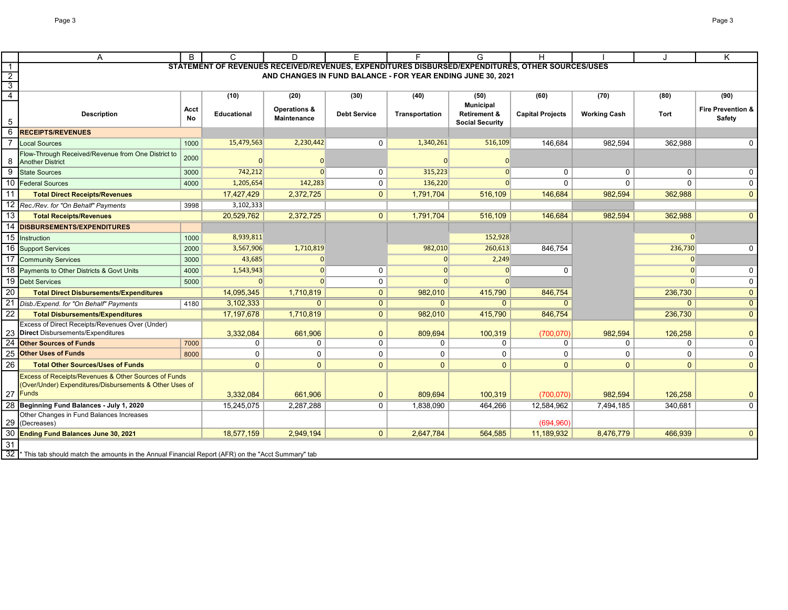Γ

|                                  | A                                                                                                                                      | B          | C                  | D                                  | F                   |                                                                                                  | G                                                 | H                       |                     | $\cdot$  | Κ                                             |
|----------------------------------|----------------------------------------------------------------------------------------------------------------------------------------|------------|--------------------|------------------------------------|---------------------|--------------------------------------------------------------------------------------------------|---------------------------------------------------|-------------------------|---------------------|----------|-----------------------------------------------|
| $\overline{1}$                   |                                                                                                                                        |            |                    |                                    |                     | STATEMENT OF REVENUES RECEIVED/REVENUES, EXPENDITURES DISBURSED/EXPENDITURES, OTHER SOURCES/USES |                                                   |                         |                     |          |                                               |
| $\overline{2}$                   |                                                                                                                                        |            |                    |                                    |                     | AND CHANGES IN FUND BALANCE - FOR YEAR ENDING JUNE 30, 2021                                      |                                                   |                         |                     |          |                                               |
| $\overline{3}$<br>$\overline{4}$ |                                                                                                                                        |            |                    |                                    |                     |                                                                                                  |                                                   |                         |                     |          |                                               |
|                                  |                                                                                                                                        |            | (10)               | (20)                               | (30)                | (40)                                                                                             | (50)<br><b>Municipal</b>                          | (60)                    | (70)                | (80)     | (90)                                          |
| 5                                | <b>Description</b>                                                                                                                     | Acct<br>No | <b>Educational</b> | Operations &<br><b>Maintenance</b> | <b>Debt Service</b> | Transportation                                                                                   | <b>Retirement &amp;</b><br><b>Social Security</b> | <b>Capital Projects</b> | <b>Working Cash</b> | Tort     | <b>Fire Prevention &amp;</b><br><b>Safety</b> |
| 6                                | <b>RECEIPTS/REVENUES</b>                                                                                                               |            |                    |                                    |                     |                                                                                                  |                                                   |                         |                     |          |                                               |
|                                  | <b>Local Sources</b>                                                                                                                   | 1000       | 15,479,563         | 2,230,442                          | $\Omega$            | 1,340,261                                                                                        | 516,109                                           | 146,684                 | 982.594             | 362,988  | U                                             |
| 8                                | Flow-Through Received/Revenue from One District to<br><b>Another District</b>                                                          | 2000       |                    |                                    |                     |                                                                                                  |                                                   |                         |                     |          |                                               |
| 9                                | <b>State Sources</b>                                                                                                                   | 3000       | 742,212            | $\Omega$                           | $\mathbf 0$         | 315,223                                                                                          | $\Omega$                                          | 0                       | $\Omega$            | $\Omega$ | U                                             |
| 10                               | <b>Federal Sources</b>                                                                                                                 | 4000       | 1,205,654          | 142,283                            | $\mathbf 0$         | 136,220                                                                                          | $\Omega$                                          | $\Omega$                | O                   |          | 0                                             |
| 11                               | <b>Total Direct Receipts/Revenues</b>                                                                                                  |            | 17,427,429         | 2,372,725                          | $\mathbf{0}$        | 1,791,704                                                                                        | 516,109                                           | 146,684                 | 982,594             | 362,988  | $\mathbf{0}$                                  |
| 12                               | Rec./Rev. for "On Behalf" Payments                                                                                                     | 3998       | 3,102,333          |                                    |                     |                                                                                                  |                                                   |                         |                     |          |                                               |
| 13                               | <b>Total Receipts/Revenues</b>                                                                                                         |            | 20,529,762         | 2,372,725                          | 0                   | 1,791,704                                                                                        | 516,109                                           | 146,684                 | 982,594             | 362,988  | $\mathbf{0}$                                  |
| 14                               | <b>DISBURSEMENTS/EXPENDITURES</b>                                                                                                      |            |                    |                                    |                     |                                                                                                  |                                                   |                         |                     |          |                                               |
| 15                               | Instruction                                                                                                                            | 1000       | 8,939,811          |                                    |                     |                                                                                                  | 152,928                                           |                         |                     | $\Omega$ |                                               |
| 16                               | <b>Support Services</b>                                                                                                                | 2000       | 3,567,906          | 1,710,819                          |                     | 982,010                                                                                          | 260,613                                           | 846,754                 |                     | 236,730  | 0                                             |
| 17                               | <b>Community Services</b>                                                                                                              | 3000       | 43,685             |                                    |                     |                                                                                                  | 2,249                                             |                         |                     | $\Omega$ |                                               |
| 18                               | Payments to Other Districts & Govt Units                                                                                               | 4000       | 1,543,943          | $\Omega$                           | $\mathbf 0$         |                                                                                                  |                                                   | $\Omega$                |                     | $\Omega$ | $\mathbf 0$                                   |
|                                  | 19 Debt Services                                                                                                                       | 5000       | $\overline{0}$     |                                    | $\mathbf 0$         |                                                                                                  |                                                   |                         |                     |          | 0                                             |
| 20                               | <b>Total Direct Disbursements/Expenditures</b>                                                                                         |            | 14,095,345         | 1,710,819                          | $\overline{0}$      | 982,010                                                                                          | 415,790                                           | 846,754                 |                     | 236,730  | $\mathbf{0}$                                  |
| 21                               | Disb./Expend. for "On Behalf" Payments                                                                                                 | 4180       | 3,102,333          | $\mathbf{0}$                       | $\overline{0}$      | $\mathbf{0}$                                                                                     | $\overline{0}$                                    | $\Omega$                |                     |          | $\overline{0}$                                |
| 22                               | <b>Total Disbursements/Expenditures</b>                                                                                                |            | 17,197,678         | 1,710,819                          | $\overline{0}$      | 982,010                                                                                          | 415,790                                           | 846,754                 |                     | 236,730  | $\mathbf 0$                                   |
|                                  | Excess of Direct Receipts/Revenues Over (Under)<br><b>Direct</b> Disbursements/Expenditures                                            |            | 3,332,084          | 661,906                            | $\mathbf{0}$        | 809,694                                                                                          | 100,319                                           | (700, 070)              | 982.594             | 126,258  | $\mathbf{0}$                                  |
| 24                               | <b>Other Sources of Funds</b>                                                                                                          | 7000       | 0                  | 0                                  | $\mathbf 0$         | $\mathbf{0}$                                                                                     | $\Omega$                                          | $\Omega$                | $\Omega$            | 0        | $\Omega$                                      |
| 25                               | <b>Other Uses of Funds</b>                                                                                                             | 8000       | 0                  | $\mathbf 0$                        | $\mathbf 0$         | $\mathbf 0$                                                                                      | 0                                                 | $\mathbf 0$             | 0                   | 0        | 0                                             |
| 26                               | <b>Total Other Sources/Uses of Funds</b>                                                                                               |            | $\Omega$           | $\overline{0}$                     | $\mathbf{0}$        | $\Omega$                                                                                         | $\Omega$                                          | $\Omega$                | $\Omega$            | $\Omega$ | $\Omega$                                      |
|                                  | <b>Excess of Receipts/Revenues &amp; Other Sources of Funds</b><br>(Over/Under) Expenditures/Disbursements & Other Uses of<br>27 Funds |            | 3,332,084          | 661,906                            | $\mathbf{0}$        | 809,694                                                                                          | 100,319                                           | (700,070)               | 982,594             | 126,258  | $\mathbf{0}$                                  |
|                                  | Beginning Fund Balances - July 1, 2020                                                                                                 |            | 15,245,075         | 2,287,288                          | $\mathbf 0$         | 1,838,090                                                                                        | 464,266                                           | 12,584,962              | 7,494,185           | 340,681  | $\Omega$                                      |
| 29                               | Other Changes in Fund Balances Increases<br>(Decreases)                                                                                |            |                    |                                    |                     |                                                                                                  |                                                   | (694, 960)              |                     |          |                                               |
|                                  | Ending Fund Balances June 30, 2021                                                                                                     |            | 18,577,159         | 2,949,194                          | $\overline{0}$      | 2,647,784                                                                                        | 564,585                                           | 11,189,932              | 8,476,779           | 466,939  | $\mathbf{0}$                                  |
| 31<br>32                         | This tab should match the amounts in the Annual Financial Report (AFR) on the "Acct Summary" tab                                       |            |                    |                                    |                     |                                                                                                  |                                                   |                         |                     |          |                                               |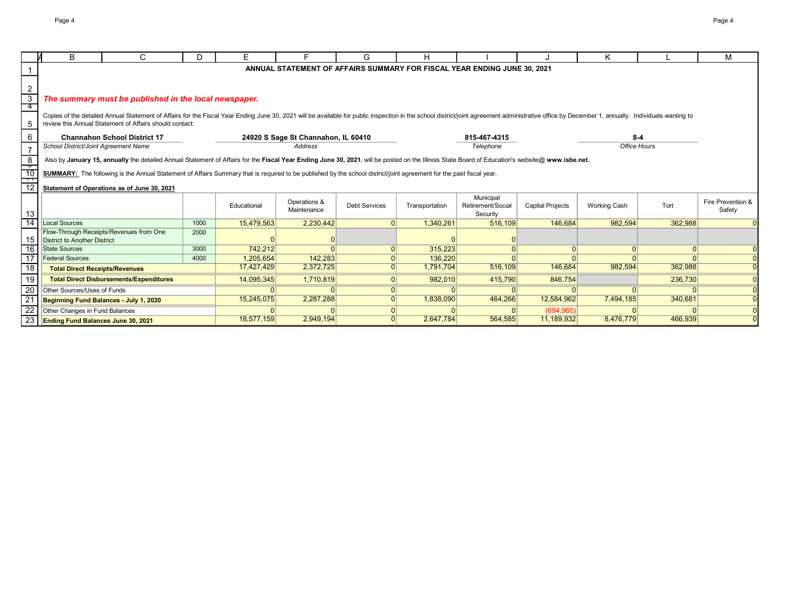|                                                                                                                                                                          | B                                                                                                                                                                                                | C                                                                                                                                                                                                                                                                                         | D.   | E.          |                                     | G                    |                |                                                                          |                         | κ                   |          | м                 |
|--------------------------------------------------------------------------------------------------------------------------------------------------------------------------|--------------------------------------------------------------------------------------------------------------------------------------------------------------------------------------------------|-------------------------------------------------------------------------------------------------------------------------------------------------------------------------------------------------------------------------------------------------------------------------------------------|------|-------------|-------------------------------------|----------------------|----------------|--------------------------------------------------------------------------|-------------------------|---------------------|----------|-------------------|
|                                                                                                                                                                          |                                                                                                                                                                                                  |                                                                                                                                                                                                                                                                                           |      |             |                                     |                      |                | ANNUAL STATEMENT OF AFFAIRS SUMMARY FOR FISCAL YEAR ENDING JUNE 30, 2021 |                         |                     |          |                   |
|                                                                                                                                                                          |                                                                                                                                                                                                  |                                                                                                                                                                                                                                                                                           |      |             |                                     |                      |                |                                                                          |                         |                     |          |                   |
| 2                                                                                                                                                                        |                                                                                                                                                                                                  |                                                                                                                                                                                                                                                                                           |      |             |                                     |                      |                |                                                                          |                         |                     |          |                   |
| $\overline{3}$                                                                                                                                                           |                                                                                                                                                                                                  | The summary must be published in the local newspaper.                                                                                                                                                                                                                                     |      |             |                                     |                      |                |                                                                          |                         |                     |          |                   |
| 4                                                                                                                                                                        |                                                                                                                                                                                                  |                                                                                                                                                                                                                                                                                           |      |             |                                     |                      |                |                                                                          |                         |                     |          |                   |
|                                                                                                                                                                          |                                                                                                                                                                                                  | Copies of the detailed Annual Statement of Affairs for the Fiscal Year Ending June 30, 2021 will be available for public inspection in the school district/joint agreement administrative office by December 1, annually. Indi<br>review this Annual Statement of Affairs should contact: |      |             |                                     |                      |                |                                                                          |                         |                     |          |                   |
| 5                                                                                                                                                                        |                                                                                                                                                                                                  |                                                                                                                                                                                                                                                                                           |      |             |                                     |                      |                |                                                                          |                         |                     |          |                   |
| 6                                                                                                                                                                        |                                                                                                                                                                                                  | <b>Channahon School District 17</b>                                                                                                                                                                                                                                                       |      |             | 24920 S Sage St Channahon, IL 60410 |                      |                | 815-467-4315                                                             |                         | $8 - 4$             |          |                   |
| $\overline{7}$                                                                                                                                                           | School District/Joint Agreement Name                                                                                                                                                             |                                                                                                                                                                                                                                                                                           |      |             | <b>Address</b>                      |                      |                | Telephone                                                                |                         | Office Hours        |          |                   |
| 8                                                                                                                                                                        | Also by January 15, annually the detailed Annual Statement of Affairs for the Fiscal Year Ending June 30, 2021, will be posted on the Illinois State Board of Education's website@ www.isbe.net. |                                                                                                                                                                                                                                                                                           |      |             |                                     |                      |                |                                                                          |                         |                     |          |                   |
| $\frac{1}{10}$                                                                                                                                                           |                                                                                                                                                                                                  |                                                                                                                                                                                                                                                                                           |      |             |                                     |                      |                |                                                                          |                         |                     |          |                   |
| SUMMARY: The following is the Annual Statement of Affairs Summary that is required to be published by the school district/joint agreement for the past fiscal year.<br>H |                                                                                                                                                                                                  |                                                                                                                                                                                                                                                                                           |      |             |                                     |                      |                |                                                                          |                         |                     |          |                   |
| 12                                                                                                                                                                       |                                                                                                                                                                                                  | Statement of Operations as of June 30, 2021                                                                                                                                                                                                                                               |      |             |                                     |                      |                |                                                                          |                         |                     |          |                   |
|                                                                                                                                                                          |                                                                                                                                                                                                  |                                                                                                                                                                                                                                                                                           |      |             | Operations &                        |                      |                | Municipal                                                                |                         |                     |          | Fire Prevention & |
|                                                                                                                                                                          |                                                                                                                                                                                                  |                                                                                                                                                                                                                                                                                           |      | Educational | Maintenance                         | <b>Debt Services</b> | Transportation | Retirement/Social                                                        | <b>Capital Projects</b> | <b>Working Cash</b> | Tort     | Safety            |
| 13<br>$\overline{14}$                                                                                                                                                    | <b>Local Sources</b>                                                                                                                                                                             |                                                                                                                                                                                                                                                                                           | 1000 | 15,479,563  | 2,230,442                           | $\Omega$             | 1,340,261      | Security<br>516,109                                                      | 146,684                 | 982,594             | 362,988  |                   |
|                                                                                                                                                                          |                                                                                                                                                                                                  | Flow-Through Receipts/Revenues from One                                                                                                                                                                                                                                                   | 2000 |             |                                     |                      |                |                                                                          |                         |                     |          |                   |
| 15                                                                                                                                                                       | District to Another District                                                                                                                                                                     |                                                                                                                                                                                                                                                                                           |      |             |                                     |                      |                |                                                                          |                         |                     |          |                   |
| 16                                                                                                                                                                       | <b>State Sources</b>                                                                                                                                                                             |                                                                                                                                                                                                                                                                                           | 3000 | 742,212     |                                     | $\Omega$             | 315,223        |                                                                          |                         |                     | $\Omega$ |                   |
| $\overline{17}$                                                                                                                                                          | <b>Federal Sources</b>                                                                                                                                                                           |                                                                                                                                                                                                                                                                                           | 4000 | 1,205,654   | 142,283                             |                      | 136,220        |                                                                          |                         |                     |          |                   |
| 18                                                                                                                                                                       | <b>Total Direct Receipts/Revenues</b>                                                                                                                                                            |                                                                                                                                                                                                                                                                                           |      | 17,427,429  | 2,372,725                           | $\Omega$             | 1,791,704      | 516,109                                                                  | 146,684                 | 982,594             | 362,988  |                   |
| 19                                                                                                                                                                       |                                                                                                                                                                                                  | <b>Total Direct Disbursements/Expenditures</b>                                                                                                                                                                                                                                            |      | 14,095,345  | 1,710,819                           | 0                    | 982,010        | 415,790                                                                  | 846,754                 |                     | 236,730  |                   |
| $\overline{20}$                                                                                                                                                          | Other Sources/Uses of Funds                                                                                                                                                                      |                                                                                                                                                                                                                                                                                           |      |             |                                     | 0                    |                |                                                                          |                         |                     |          |                   |
| $\frac{1}{2}$                                                                                                                                                            |                                                                                                                                                                                                  | Beginning Fund Balances - July 1, 2020                                                                                                                                                                                                                                                    |      | 15,245,075  | 2,287,288                           | $\Omega$             | 1,838,090      | 464,266                                                                  | 12,584,962              | 7,494,185           | 340,681  |                   |
| $\overline{22}$                                                                                                                                                          | Other Changes in Fund Balances                                                                                                                                                                   |                                                                                                                                                                                                                                                                                           |      |             |                                     |                      |                |                                                                          | (694, 960)              |                     |          |                   |
|                                                                                                                                                                          | 23 Ending Fund Balances June 30, 2021                                                                                                                                                            |                                                                                                                                                                                                                                                                                           |      | 18,577,159  | 2,949,194                           |                      | 2,647,784      | 564,585                                                                  | 11,189,932              | 8,476,779           | 466,939  |                   |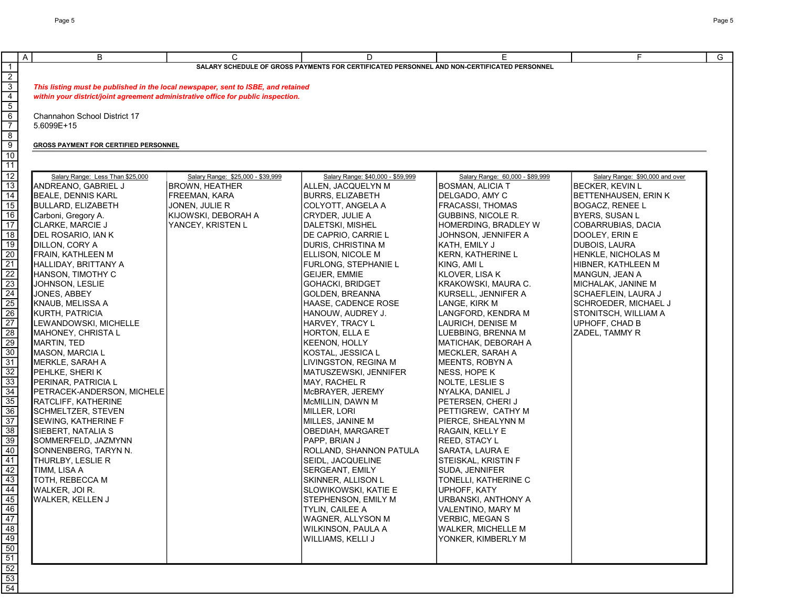|                                                                                                 | $\overline{A}$<br>B                                                               | C                                 | D                                                                                           | E                                        | F.                              | $\overline{G}$ |
|-------------------------------------------------------------------------------------------------|-----------------------------------------------------------------------------------|-----------------------------------|---------------------------------------------------------------------------------------------|------------------------------------------|---------------------------------|----------------|
| $\mathbf{1}$                                                                                    |                                                                                   |                                   | SALARY SCHEDULE OF GROSS PAYMENTS FOR CERTIFICATED PERSONNEL AND NON-CERTIFICATED PERSONNEL |                                          |                                 |                |
| $\begin{array}{r} \boxed{2} \\ \boxed{3} \\ \boxed{4} \\ \boxed{5} \end{array}$                 |                                                                                   |                                   |                                                                                             |                                          |                                 |                |
|                                                                                                 | This listing must be published in the local newspaper, sent to ISBE, and retained |                                   |                                                                                             |                                          |                                 |                |
|                                                                                                 | within your district/joint agreement administrative office for public inspection. |                                   |                                                                                             |                                          |                                 |                |
|                                                                                                 |                                                                                   |                                   |                                                                                             |                                          |                                 |                |
| $6\overline{}$                                                                                  | Channahon School District 17                                                      |                                   |                                                                                             |                                          |                                 |                |
| $\overline{7}$                                                                                  | 5.6099E+15                                                                        |                                   |                                                                                             |                                          |                                 |                |
| $\overline{8}$                                                                                  |                                                                                   |                                   |                                                                                             |                                          |                                 |                |
| $\frac{9}{10}$                                                                                  | <b>GROSS PAYMENT FOR CERTIFIED PERSONNEL</b>                                      |                                   |                                                                                             |                                          |                                 |                |
|                                                                                                 |                                                                                   |                                   |                                                                                             |                                          |                                 |                |
| $\overline{11}$                                                                                 |                                                                                   |                                   |                                                                                             |                                          |                                 |                |
| $\overline{12}$                                                                                 | Salary Range: Less Than \$25,000                                                  | Salary Range: \$25,000 - \$39,999 | Salary Range: \$40,000 - \$59,999                                                           | Salary Range: 60,000 - \$89,999          | Salary Range: \$90,000 and over |                |
| $\overline{13}$                                                                                 | ANDREANO, GABRIEL J                                                               | <b>BROWN, HEATHER</b>             | ALLEN, JACQUELYN M                                                                          | <b>BOSMAN, ALICIA T</b>                  | <b>BECKER, KEVIN L</b>          |                |
| $\overline{14}$                                                                                 | <b>BEALE, DENNIS KARL</b>                                                         | FREEMAN, KARA                     | BURRS, ELIZABETH                                                                            | DELGADO, AMY C                           | BETTENHAUSEN, ERIN K            |                |
| $\overline{15}$                                                                                 | <b>BULLARD, ELIZABETH</b>                                                         | JONEN, JULIE R                    | COLYOTT, ANGELA A                                                                           | FRACASSI, THOMAS                         | BOGACZ, RENEE L                 |                |
| 16                                                                                              | Carboni, Gregory A.                                                               | KIJOWSKI, DEBORAH A               | CRYDER, JULIE A                                                                             | <b>GUBBINS, NICOLE R.</b>                | <b>BYERS, SUSAN L</b>           |                |
| $\overline{17}$                                                                                 | <b>CLARKE, MARCIE J</b>                                                           | YANCEY, KRISTEN L                 | DALETSKI, MISHEL                                                                            | HOMERDING, BRADLEY W                     | COBARRUBIAS, DACIA              |                |
| $\overline{18}$                                                                                 | DEL ROSARIO, IAN K                                                                |                                   | DE CAPRIO, CARRIE L                                                                         | JOHNSON, JENNIFER A                      | DOOLEY, ERIN E                  |                |
| $\overline{19}$                                                                                 | DILLON, CORY A                                                                    |                                   | DURIS, CHRISTINA M                                                                          | KATH, EMILY J                            | DUBOIS, LAURA                   |                |
| $\overline{20}$                                                                                 | FRAIN, KATHLEEN M                                                                 |                                   | ELLISON, NICOLE M                                                                           | <b>KERN, KATHERINE L</b>                 | HENKLE, NICHOLAS M              |                |
| $\overline{21}$                                                                                 | HALLIDAY, BRITTANY A                                                              |                                   | <b>FURLONG, STEPHANIE L</b>                                                                 | KING, AMI L                              | HIBNER, KATHLEEN M              |                |
| $\overline{22}$                                                                                 | HANSON, TIMOTHY C                                                                 |                                   | <b>GEIJER, EMMIE</b>                                                                        | KLOVER, LISA K                           | MANGUN, JEAN A                  |                |
| $\overline{23}$                                                                                 | JOHNSON, LESLIE                                                                   |                                   | GOHACKI, BRIDGET                                                                            | KRAKOWSKI, MAURA C.                      | MICHALAK, JANINE M              |                |
| $\overline{24}$                                                                                 | JONES, ABBEY                                                                      |                                   | <b>GOLDEN, BREANNA</b>                                                                      | KURSELL, JENNIFER A                      | SCHAEFLEIN, LAURA J             |                |
| $\overline{25}$                                                                                 | KNAUB, MELISSA A                                                                  |                                   | HAASE, CADENCE ROSE                                                                         | LANGE, KIRK M                            | SCHROEDER, MICHAEL J            |                |
| $\overline{26}$                                                                                 | KURTH, PATRICIA                                                                   |                                   | HANOUW, AUDREY J.                                                                           | LANGFORD, KENDRA M                       | STONITSCH, WILLIAM A            |                |
| $\overline{27}$                                                                                 | LEWANDOWSKI, MICHELLE                                                             |                                   | HARVEY, TRACY L                                                                             | LAURICH, DENISE M                        | UPHOFF, CHAD B                  |                |
| $\overline{28}$                                                                                 | MAHONEY, CHRISTA L                                                                |                                   | HORTON, ELLA E                                                                              | LUEBBING, BRENNA M                       | ZADEL, TAMMY R                  |                |
| 29                                                                                              | MARTIN, TED                                                                       |                                   | KEENON, HOLLY                                                                               | MATICHAK, DEBORAH A                      |                                 |                |
| $\overline{30}$                                                                                 | MASON, MARCIA L                                                                   |                                   | KOSTAL, JESSICA L                                                                           | MECKLER, SARAH A                         |                                 |                |
| $\overline{31}$                                                                                 | MERKLE, SARAH A                                                                   |                                   | LIVINGSTON, REGINA M                                                                        | MEENTS, ROBYN A                          |                                 |                |
| $\overline{32}$                                                                                 | PEHLKE, SHERI K                                                                   |                                   | MATUSZEWSKI, JENNIFER                                                                       | NESS, HOPE K                             |                                 |                |
| $\overline{33}$                                                                                 | PERINAR, PATRICIA L                                                               |                                   | <b>MAY, RACHEL R</b>                                                                        | NOLTE, LESLIE S                          |                                 |                |
| $\frac{34}{35}$                                                                                 | PETRACEK-ANDERSON, MICHELE                                                        |                                   | McBRAYER, JEREMY                                                                            | NYALKA, DANIEL J                         |                                 |                |
|                                                                                                 | RATCLIFF, KATHERINE                                                               |                                   | McMILLIN, DAWN M                                                                            | PETERSEN, CHERI J                        |                                 |                |
| $\overline{36}$                                                                                 | SCHMELTZER, STEVEN                                                                |                                   | MILLER, LORI                                                                                | PETTIGREW, CATHY M                       |                                 |                |
| $\overline{37}$                                                                                 | SEWING, KATHERINE F                                                               |                                   | MILLES, JANINE M                                                                            | PIERCE, SHEALYNN M                       |                                 |                |
| 38                                                                                              | SIEBERT, NATALIA S                                                                |                                   | <b>OBEDIAH, MARGARET</b>                                                                    | RAGAIN, KELLY E                          |                                 |                |
| $\overline{39}$                                                                                 | SOMMERFELD, JAZMYNN                                                               |                                   | PAPP, BRIAN J                                                                               | <b>REED, STACY L</b>                     |                                 |                |
| 40                                                                                              | SONNENBERG, TARYN N.                                                              |                                   | ROLLAND, SHANNON PATULA                                                                     | SARATA, LAURA E                          |                                 |                |
| 41<br>$\overline{42}$                                                                           | THURLBY, LESLIE R                                                                 |                                   | SEIDL, JACQUELINE                                                                           | STEISKAL, KRISTIN F                      |                                 |                |
| 43                                                                                              | TIMM, LISA A                                                                      |                                   | SERGEANT, EMILY                                                                             | SUDA, JENNIFER                           |                                 |                |
| 44                                                                                              | <b>TOTH, REBECCA M</b>                                                            |                                   | SKINNER, ALLISON L                                                                          | TONELLI, KATHERINE C                     |                                 |                |
|                                                                                                 | WALKER, JOIR.                                                                     |                                   | SLOWIKOWSKI, KATIE E                                                                        | UPHOFF, KATY                             |                                 |                |
|                                                                                                 | <b>WALKER, KELLEN J</b>                                                           |                                   | STEPHENSON, EMILY M<br>TYLIN, CAILEE A                                                      | URBANSKI, ANTHONY A<br>VALENTINO, MARY M |                                 |                |
|                                                                                                 |                                                                                   |                                   | WAGNER, ALLYSON M                                                                           | <b>VERBIC, MEGAN S</b>                   |                                 |                |
|                                                                                                 |                                                                                   |                                   | WILKINSON, PAULA A                                                                          | <b>WALKER, MICHELLE M</b>                |                                 |                |
|                                                                                                 |                                                                                   |                                   | WILLIAMS, KELLI J                                                                           | YONKER, KIMBERLY M                       |                                 |                |
|                                                                                                 |                                                                                   |                                   |                                                                                             |                                          |                                 |                |
|                                                                                                 |                                                                                   |                                   |                                                                                             |                                          |                                 |                |
|                                                                                                 |                                                                                   |                                   |                                                                                             |                                          |                                 |                |
| $\frac{45}{46}$ $\frac{47}{48}$ $\frac{48}{50}$ $\frac{51}{52}$ $\frac{52}{53}$ $\frac{53}{54}$ |                                                                                   |                                   |                                                                                             |                                          |                                 |                |
|                                                                                                 |                                                                                   |                                   |                                                                                             |                                          |                                 |                |
|                                                                                                 |                                                                                   |                                   |                                                                                             |                                          |                                 |                |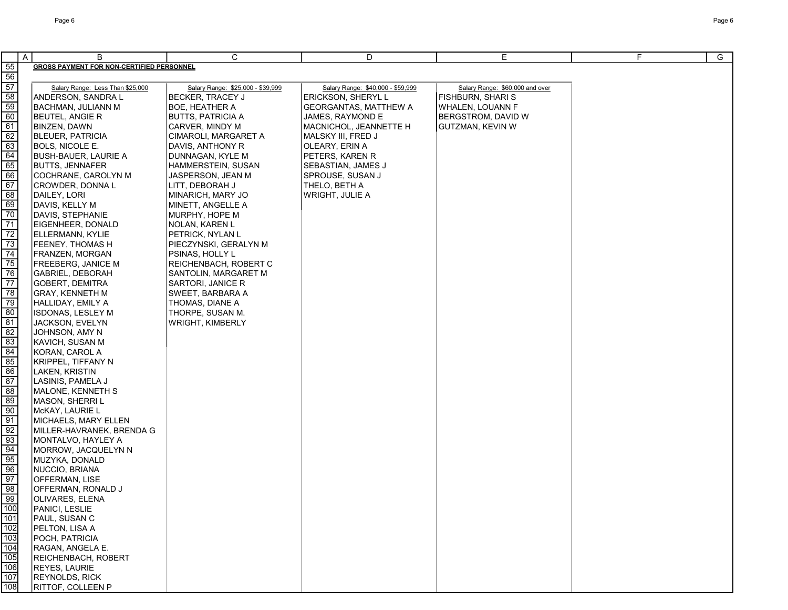|                                                                                                                                              | $\overline{A}$<br>B                              | C                                 | D                                 | E.                              | F. | G |
|----------------------------------------------------------------------------------------------------------------------------------------------|--------------------------------------------------|-----------------------------------|-----------------------------------|---------------------------------|----|---|
| 55                                                                                                                                           | <b>GROSS PAYMENT FOR NON-CERTIFIED PERSONNEL</b> |                                   |                                   |                                 |    |   |
| 56                                                                                                                                           |                                                  |                                   |                                   |                                 |    |   |
| $\overline{57}$                                                                                                                              | Salary Range: Less Than \$25,000                 | Salary Range: \$25,000 - \$39,999 | Salary Range: \$40,000 - \$59,999 | Salary Range: \$60,000 and over |    |   |
| 58                                                                                                                                           | ANDERSON, SANDRA L                               | <b>BECKER, TRACEY J</b>           | ERICKSON, SHERYL L                | <b>FISHBURN, SHARI S</b>        |    |   |
|                                                                                                                                              |                                                  |                                   |                                   |                                 |    |   |
| 59                                                                                                                                           | BACHMAN, JULIANN M                               | BOE, HEATHER A                    | <b>GEORGANTAS, MATTHEW A</b>      | <b>WHALEN, LOUANN F</b>         |    |   |
| 60                                                                                                                                           | <b>BEUTEL, ANGIE R</b>                           | <b>BUTTS, PATRICIA A</b>          | JAMES, RAYMOND E                  | <b>BERGSTROM, DAVID W</b>       |    |   |
| 61                                                                                                                                           | BINZEN, DAWN                                     | CARVER, MINDY M                   | MACNICHOL, JEANNETTE H            | <b>GUTZMAN, KEVIN W</b>         |    |   |
| 62                                                                                                                                           | <b>BLEUER, PATRICIA</b>                          | CIMAROLI, MARGARET A              | MALSKY III, FRED J                |                                 |    |   |
| 63                                                                                                                                           | BOLS, NICOLE E.                                  | DAVIS, ANTHONY R                  | OLEARY, ERIN A                    |                                 |    |   |
| 64                                                                                                                                           | BUSH-BAUER, LAURIE A                             | DUNNAGAN, KYLE M                  | PETERS, KAREN R                   |                                 |    |   |
| 65                                                                                                                                           | BUTTS, JENNAFER                                  | HAMMERSTEIN, SUSAN                | SEBASTIAN, JAMES J                |                                 |    |   |
| 66                                                                                                                                           | COCHRANE, CAROLYN M                              | JASPERSON, JEAN M                 | SPROUSE, SUSAN J                  |                                 |    |   |
| 67                                                                                                                                           | CROWDER, DONNA L                                 | LITT, DEBORAH J                   | THELO, BETH A                     |                                 |    |   |
| 68                                                                                                                                           | DAILEY, LORI                                     | MINARICH, MARY JO                 | WRIGHT, JULIE A                   |                                 |    |   |
| 69                                                                                                                                           | DAVIS, KELLY M                                   | MINETT, ANGELLE A                 |                                   |                                 |    |   |
| 70                                                                                                                                           | DAVIS, STEPHANIE                                 | MURPHY, HOPE M                    |                                   |                                 |    |   |
| $\overline{71}$                                                                                                                              | EIGENHEER, DONALD                                | NOLAN, KAREN L                    |                                   |                                 |    |   |
| $\overline{72}$                                                                                                                              | ELLERMANN, KYLIE                                 | PETRICK, NYLAN L                  |                                   |                                 |    |   |
| 73                                                                                                                                           | FEENEY, THOMAS H                                 | PIECZYNSKI, GERALYN M             |                                   |                                 |    |   |
| $\overline{74}$                                                                                                                              | FRANZEN, MORGAN                                  | PSINAS, HOLLY L                   |                                   |                                 |    |   |
| 75                                                                                                                                           | <b>FREEBERG, JANICE M</b>                        | REICHENBACH, ROBERT C             |                                   |                                 |    |   |
| 76                                                                                                                                           | <b>GABRIEL, DEBORAH</b>                          | SANTOLIN, MARGARET M              |                                   |                                 |    |   |
| 77                                                                                                                                           | GOBERT, DEMITRA                                  | SARTORI, JANICE R                 |                                   |                                 |    |   |
| 78                                                                                                                                           | GRAY, KENNETH M                                  | SWEET, BARBARA A                  |                                   |                                 |    |   |
| 79                                                                                                                                           | HALLIDAY, EMILY A                                | THOMAS, DIANE A                   |                                   |                                 |    |   |
| 80                                                                                                                                           | <b>ISDONAS, LESLEY M</b>                         | THORPE, SUSAN M.                  |                                   |                                 |    |   |
| 81                                                                                                                                           | JACKSON, EVELYN                                  | WRIGHT, KIMBERLY                  |                                   |                                 |    |   |
| 82                                                                                                                                           | JOHNSON, AMY N                                   |                                   |                                   |                                 |    |   |
| 83                                                                                                                                           | KAVICH, SUSAN M                                  |                                   |                                   |                                 |    |   |
| 84                                                                                                                                           | KORAN, CAROL A                                   |                                   |                                   |                                 |    |   |
| 85                                                                                                                                           | KRIPPEL, TIFFANY N                               |                                   |                                   |                                 |    |   |
| 86                                                                                                                                           | LAKEN, KRISTIN                                   |                                   |                                   |                                 |    |   |
| 87                                                                                                                                           | LASINIS, PAMELA J                                |                                   |                                   |                                 |    |   |
| 88                                                                                                                                           | MALONE, KENNETH S                                |                                   |                                   |                                 |    |   |
| 89                                                                                                                                           | MASON, SHERRI L                                  |                                   |                                   |                                 |    |   |
| 90                                                                                                                                           | McKAY, LAURIE L                                  |                                   |                                   |                                 |    |   |
| 91                                                                                                                                           | MICHAELS, MARY ELLEN                             |                                   |                                   |                                 |    |   |
| 92                                                                                                                                           | MILLER-HAVRANEK, BRENDA G                        |                                   |                                   |                                 |    |   |
| 93                                                                                                                                           | MONTALVO, HAYLEY A                               |                                   |                                   |                                 |    |   |
| 94                                                                                                                                           | MORROW, JACQUELYN N                              |                                   |                                   |                                 |    |   |
| 95                                                                                                                                           | MUZYKA, DONALD                                   |                                   |                                   |                                 |    |   |
| 96                                                                                                                                           | NUCCIO, BRIANA                                   |                                   |                                   |                                 |    |   |
| 97                                                                                                                                           | OFFERMAN, LISE                                   |                                   |                                   |                                 |    |   |
| 98                                                                                                                                           | OFFERMAN, RONALD J                               |                                   |                                   |                                 |    |   |
| $\overline{99}$                                                                                                                              | OLIVARES, ELENA                                  |                                   |                                   |                                 |    |   |
|                                                                                                                                              | PANICI, LESLIE                                   |                                   |                                   |                                 |    |   |
| $\frac{\dot{a}}{\dot{b}}\frac{\dot{b}}{\dot{c}}\frac{\dot{c}}{\dot{c}}\frac{\dot{c}}{\dot{c}}\frac{\dot{c}}{\dot{c}}\frac{\dot{c}}{\dot{c}}$ | PAUL, SUSAN C                                    |                                   |                                   |                                 |    |   |
|                                                                                                                                              | PELTON, LISA A                                   |                                   |                                   |                                 |    |   |
|                                                                                                                                              | POCH, PATRICIA                                   |                                   |                                   |                                 |    |   |
|                                                                                                                                              | RAGAN, ANGELA E.                                 |                                   |                                   |                                 |    |   |
|                                                                                                                                              | REICHENBACH, ROBERT                              |                                   |                                   |                                 |    |   |
|                                                                                                                                              | REYES, LAURIE                                    |                                   |                                   |                                 |    |   |
| $\frac{106}{107}$                                                                                                                            | REYNOLDS, RICK                                   |                                   |                                   |                                 |    |   |
| 108                                                                                                                                          | RITTOF, COLLEEN P                                |                                   |                                   |                                 |    |   |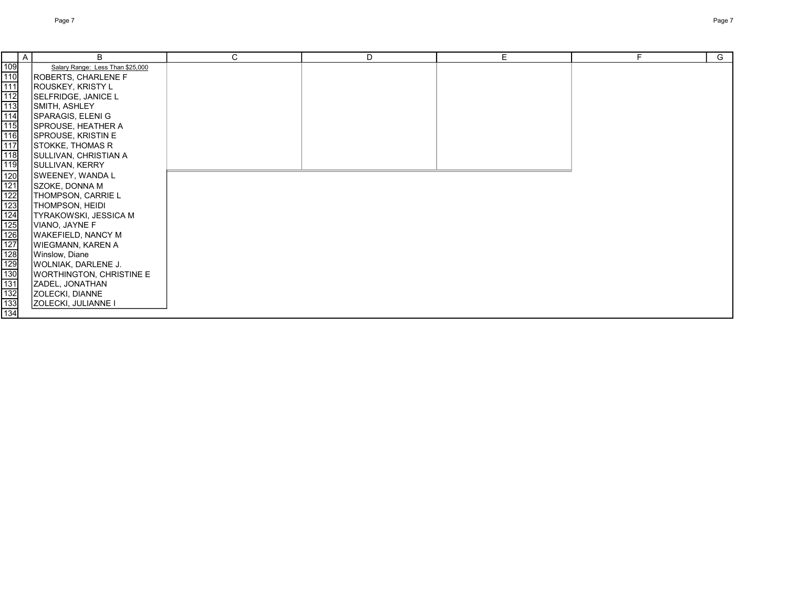|                                        | A | B                                | $\mathsf{C}$ | D | E. | F. | G |
|----------------------------------------|---|----------------------------------|--------------|---|----|----|---|
| $\frac{109}{110}$<br>$\frac{110}{111}$ |   | Salary Range: Less Than \$25,000 |              |   |    |    |   |
|                                        |   | <b>ROBERTS, CHARLENE F</b>       |              |   |    |    |   |
|                                        |   | ROUSKEY, KRISTY L                |              |   |    |    |   |
|                                        |   | SELFRIDGE, JANICE L              |              |   |    |    |   |
|                                        |   | SMITH, ASHLEY                    |              |   |    |    |   |
|                                        |   | SPARAGIS, ELENI G                |              |   |    |    |   |
|                                        |   | SPROUSE, HEATHER A               |              |   |    |    |   |
|                                        |   | SPROUSE, KRISTIN E               |              |   |    |    |   |
|                                        |   | STOKKE, THOMAS R                 |              |   |    |    |   |
|                                        |   | SULLIVAN, CHRISTIAN A            |              |   |    |    |   |
|                                        |   | SULLIVAN, KERRY                  |              |   |    |    |   |
|                                        |   | SWEENEY, WANDA L                 |              |   |    |    |   |
|                                        |   | SZOKE, DONNA M                   |              |   |    |    |   |
|                                        |   | THOMPSON, CARRIE L               |              |   |    |    |   |
|                                        |   | THOMPSON, HEIDI                  |              |   |    |    |   |
|                                        |   | <b>TYRAKOWSKI, JESSICA M</b>     |              |   |    |    |   |
|                                        |   | VIANO, JAYNE F                   |              |   |    |    |   |
|                                        |   | WAKEFIELD, NANCY M               |              |   |    |    |   |
|                                        |   | WIEGMANN, KAREN A                |              |   |    |    |   |
|                                        |   | Winslow, Diane                   |              |   |    |    |   |
|                                        |   | <b>WOLNIAK, DARLENE J.</b>       |              |   |    |    |   |
|                                        |   | WORTHINGTON, CHRISTINE E         |              |   |    |    |   |
|                                        |   | ZADEL, JONATHAN                  |              |   |    |    |   |
|                                        |   | <b>ZOLECKI, DIANNE</b>           |              |   |    |    |   |
|                                        |   | <b>ZOLECKI, JULIANNE I</b>       |              |   |    |    |   |
|                                        |   |                                  |              |   |    |    |   |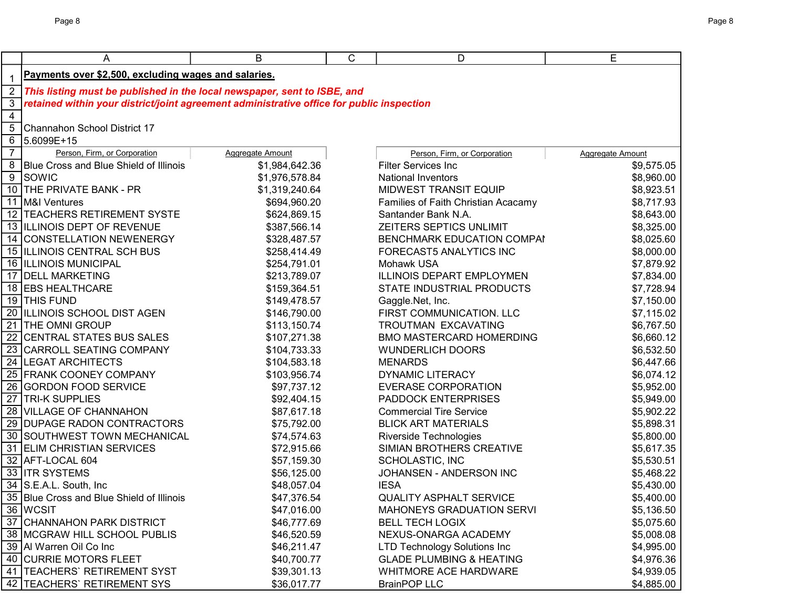|                | A                                                                                         | B                          | C | D                                                           | Е                        |
|----------------|-------------------------------------------------------------------------------------------|----------------------------|---|-------------------------------------------------------------|--------------------------|
| $\mathbf 1$    | Payments over \$2,500, excluding wages and salaries.                                      |                            |   |                                                             |                          |
| $\overline{2}$ | This listing must be published in the local newspaper, sent to ISBE, and                  |                            |   |                                                             |                          |
| 3              | retained within your district/joint agreement administrative office for public inspection |                            |   |                                                             |                          |
| $\overline{4}$ |                                                                                           |                            |   |                                                             |                          |
| 5              | Channahon School District 17                                                              |                            |   |                                                             |                          |
| 6              | 5.6099E+15                                                                                |                            |   |                                                             |                          |
| $\overline{7}$ | Person, Firm, or Corporation                                                              | Aggregate Amount           |   | Person, Firm, or Corporation                                | <b>Aggregate Amount</b>  |
|                | 8 Blue Cross and Blue Shield of Illinois                                                  | \$1,984,642.36             |   | <b>Filter Services Inc</b>                                  | \$9,575.05               |
|                | $\sqrt{9}$ SOWIC                                                                          | \$1,976,578.84             |   | <b>National Inventors</b>                                   | \$8,960.00               |
|                | 10 THE PRIVATE BANK - PR                                                                  | \$1,319,240.64             |   | MIDWEST TRANSIT EQUIP                                       | \$8,923.51               |
|                | 11 M&I Ventures                                                                           | \$694,960.20               |   | Families of Faith Christian Acacamy                         | \$8,717.93               |
|                | 12   TEACHERS RETIREMENT SYSTE                                                            | \$624,869.15               |   | Santander Bank N.A.                                         | \$8,643.00               |
|                | 13 ILLINOIS DEPT OF REVENUE                                                               | \$387,566.14               |   | ZEITERS SEPTICS UNLIMIT                                     | \$8,325.00               |
|                | 14 CONSTELLATION NEWENERGY                                                                | \$328,487.57               |   | BENCHMARK EDUCATION COMPAN                                  | \$8,025.60               |
|                | 15 ILLINOIS CENTRAL SCH BUS                                                               | \$258,414.49               |   | FORECAST5 ANALYTICS INC                                     | \$8,000.00               |
|                | 16 ILLINOIS MUNICIPAL                                                                     | \$254,791.01               |   | Mohawk USA                                                  | \$7,879.92               |
|                | 17 DELL MARKETING                                                                         | \$213,789.07               |   | ILLINOIS DEPART EMPLOYMEN                                   | \$7,834.00               |
|                | 18 EBS HEALTHCARE                                                                         | \$159,364.51               |   | STATE INDUSTRIAL PRODUCTS                                   | \$7,728.94               |
|                | 19 THIS FUND                                                                              | \$149,478.57               |   | Gaggle.Net, Inc.                                            | \$7,150.00               |
|                | 20 ILLINOIS SCHOOL DIST AGEN                                                              | \$146,790.00               |   | FIRST COMMUNICATION. LLC                                    | \$7,115.02               |
|                | 21 THE OMNI GROUP                                                                         | \$113,150.74               |   | TROUTMAN EXCAVATING                                         | \$6,767.50               |
|                | 22 CENTRAL STATES BUS SALES                                                               | \$107,271.38               |   | <b>BMO MASTERCARD HOMERDING</b>                             | \$6,660.12               |
|                | 23 CARROLL SEATING COMPANY                                                                | \$104,733.33               |   | <b>WUNDERLICH DOORS</b>                                     | \$6,532.50               |
|                | 24 LEGAT ARCHITECTS                                                                       | \$104,583.18               |   | <b>MENARDS</b>                                              | \$6,447.66               |
|                | 25 FRANK COONEY COMPANY                                                                   | \$103,956.74               |   | <b>DYNAMIC LITERACY</b>                                     | \$6,074.12               |
|                | 26 GORDON FOOD SERVICE                                                                    | \$97,737.12                |   | <b>EVERASE CORPORATION</b>                                  | \$5,952.00               |
|                | 27 TRI-K SUPPLIES                                                                         | \$92,404.15                |   | PADDOCK ENTERPRISES                                         | \$5,949.00               |
|                | 28 VILLAGE OF CHANNAHON                                                                   | \$87,617.18                |   | <b>Commercial Tire Service</b>                              | \$5,902.22               |
|                | 29 DUPAGE RADON CONTRACTORS                                                               | \$75,792.00                |   | <b>BLICK ART MATERIALS</b>                                  | \$5,898.31               |
|                | 30 SOUTHWEST TOWN MECHANICAL                                                              | \$74,574.63                |   | <b>Riverside Technologies</b>                               | \$5,800.00               |
|                | 31 ELIM CHRISTIAN SERVICES                                                                | \$72,915.66                |   | SIMIAN BROTHERS CREATIVE                                    | \$5,617.35               |
|                | 32 AFT-LOCAL 604                                                                          | \$57,159.30                |   | SCHOLASTIC, INC                                             | \$5,530.51               |
|                | 33 ITR SYSTEMS                                                                            | \$56,125.00                |   | JOHANSEN - ANDERSON INC                                     | \$5,468.22               |
|                | 34 S.E.A.L. South, Inc.                                                                   | \$48,057.04                |   | <b>IESA</b>                                                 | \$5,430.00               |
|                | 35 Blue Cross and Blue Shield of Illinois                                                 | \$47,376.54                |   | <b>QUALITY ASPHALT SERVICE</b>                              | \$5,400.00               |
|                | 36 WCSIT                                                                                  | \$47,016.00                |   | MAHONEYS GRADUATION SERVI                                   | \$5,136.50               |
|                | 37 CHANNAHON PARK DISTRICT<br>38 MCGRAW HILL SCHOOL PUBLIS                                | \$46,777.69                |   | <b>BELL TECH LOGIX</b>                                      | \$5,075.60<br>\$5,008.08 |
|                | 39 Al Warren Oil Co Inc                                                                   | \$46,520.59<br>\$46,211.47 |   | NEXUS-ONARGA ACADEMY<br><b>LTD Technology Solutions Inc</b> | \$4,995.00               |
|                | 40 CURRIE MOTORS FLEET                                                                    | \$40,700.77                |   | <b>GLADE PLUMBING &amp; HEATING</b>                         | \$4,976.36               |
|                | 41   TEACHERS' RETIREMENT SYST                                                            | \$39,301.13                |   | WHITMORE ACE HARDWARE                                       | \$4,939.05               |
|                | 42   TEACHERS' RETIREMENT SYS                                                             | \$36,017.77                |   | <b>BrainPOP LLC</b>                                         | \$4,885.00               |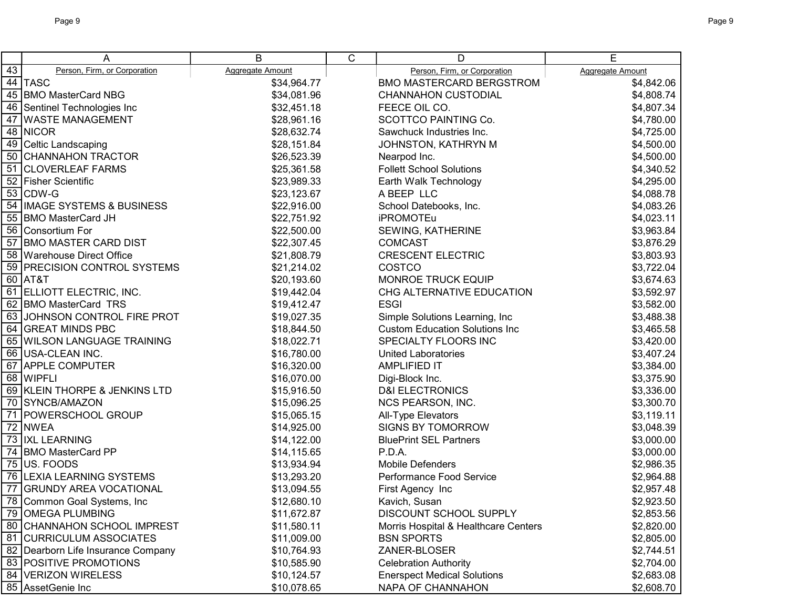|    | A                                  | B                       | C | D                                     | E                       |
|----|------------------------------------|-------------------------|---|---------------------------------------|-------------------------|
| 43 | Person, Firm, or Corporation       | <b>Aggregate Amount</b> |   | Person, Firm, or Corporation          | <b>Aggregate Amount</b> |
|    | 44 TASC                            | \$34,964.77             |   | <b>BMO MASTERCARD BERGSTROM</b>       | \$4,842.06              |
| 45 | <b>BMO MasterCard NBG</b>          | \$34,081.96             |   | <b>CHANNAHON CUSTODIAL</b>            | \$4,808.74              |
| 46 | Sentinel Technologies Inc          | \$32,451.18             |   | FEECE OIL CO.                         | \$4,807.34              |
| 47 | <b>WASTE MANAGEMENT</b>            | \$28,961.16             |   | SCOTTCO PAINTING Co.                  | \$4,780.00              |
|    | 48 NICOR                           | \$28,632.74             |   | Sawchuck Industries Inc.              | \$4,725.00              |
|    | 49 Celtic Landscaping              | \$28,151.84             |   | JOHNSTON, KATHRYN M                   | \$4,500.00              |
|    | 50 CHANNAHON TRACTOR               | \$26,523.39             |   | Nearpod Inc.                          | \$4,500.00              |
|    | 51 CLOVERLEAF FARMS                | \$25,361.58             |   | <b>Follett School Solutions</b>       | \$4,340.52              |
|    | 52 Fisher Scientific               | \$23,989.33             |   | Earth Walk Technology                 | \$4,295.00              |
|    | 53 CDW-G                           | \$23,123.67             |   | A BEEP LLC                            | \$4,088.78              |
|    | 54 IMAGE SYSTEMS & BUSINESS        | \$22,916.00             |   | School Datebooks, Inc.                | \$4,083.26              |
|    | 55 BMO MasterCard JH               | \$22,751.92             |   | <b>iPROMOTEu</b>                      | \$4,023.11              |
|    | 56 Consortium For                  | \$22,500.00             |   | SEWING, KATHERINE                     | \$3,963.84              |
|    | 57 BMO MASTER CARD DIST            | \$22,307.45             |   | <b>COMCAST</b>                        | \$3,876.29              |
|    | 58 Warehouse Direct Office         | \$21,808.79             |   | <b>CRESCENT ELECTRIC</b>              | \$3,803.93              |
|    | 59 PRECISION CONTROL SYSTEMS       | \$21,214.02             |   | <b>COSTCO</b>                         | \$3,722.04              |
|    | 60 AT&T                            | \$20,193.60             |   | MONROE TRUCK EQUIP                    | \$3,674.63              |
|    | 61 ELLIOTT ELECTRIC, INC.          | \$19,442.04             |   | CHG ALTERNATIVE EDUCATION             | \$3,592.97              |
| 62 | <b>BMO MasterCard TRS</b>          | \$19,412.47             |   | <b>ESGI</b>                           | \$3,582.00              |
| 63 | JOHNSON CONTROL FIRE PROT          | \$19,027.35             |   | Simple Solutions Learning, Inc.       | \$3,488.38              |
|    | 64 GREAT MINDS PBC                 | \$18,844.50             |   | <b>Custom Education Solutions Inc</b> | \$3,465.58              |
|    | 65 WILSON LANGUAGE TRAINING        | \$18,022.71             |   | SPECIALTY FLOORS INC                  | \$3,420.00              |
|    | 66 USA-CLEAN INC.                  | \$16,780.00             |   | <b>United Laboratories</b>            | \$3,407.24              |
|    | 67 APPLE COMPUTER                  | \$16,320.00             |   | <b>AMPLIFIED IT</b>                   | \$3,384.00              |
|    | 68 WIPFLI                          | \$16,070.00             |   | Digi-Block Inc.                       | \$3,375.90              |
|    | 69 KLEIN THORPE & JENKINS LTD      | \$15,916.50             |   | <b>D&amp;I ELECTRONICS</b>            | \$3,336.00              |
|    | 70 SYNCB/AMAZON                    | \$15,096.25             |   | NCS PEARSON, INC.                     | \$3,300.70              |
|    | 71   POWERSCHOOL GROUP             | \$15,065.15             |   | All-Type Elevators                    | \$3,119.11              |
|    | 72 NWEA                            | \$14,925.00             |   | <b>SIGNS BY TOMORROW</b>              | \$3,048.39              |
|    | 73 IXL LEARNING                    | \$14,122.00             |   | <b>BluePrint SEL Partners</b>         | \$3,000.00              |
|    | 74 BMO MasterCard PP               | \$14,115.65             |   | P.D.A.                                | \$3,000.00              |
|    | 75 US. FOODS                       | \$13,934.94             |   | Mobile Defenders                      | \$2,986.35              |
|    | 76 LEXIA LEARNING SYSTEMS          | \$13,293.20             |   | Performance Food Service              | \$2,964.88              |
| 77 | <b>GRUNDY AREA VOCATIONAL</b>      | \$13,094.55             |   | First Agency Inc                      | \$2,957.48              |
|    | 78 Common Goal Systems, Inc        | \$12,680.10             |   | Kavich, Susan                         | \$2,923.50              |
|    | 79 OMEGA PLUMBING                  | \$11,672.87             |   | DISCOUNT SCHOOL SUPPLY                | \$2,853.56              |
|    | 80 CHANNAHON SCHOOL IMPREST        | \$11,580.11             |   | Morris Hospital & Healthcare Centers  | \$2,820.00              |
|    | 81 CURRICULUM ASSOCIATES           | \$11,009.00             |   | <b>BSN SPORTS</b>                     | \$2,805.00              |
|    | 82 Dearborn Life Insurance Company | \$10,764.93             |   | ZANER-BLOSER                          | \$2,744.51              |
|    | 83 POSITIVE PROMOTIONS             | \$10,585.90             |   | <b>Celebration Authority</b>          | \$2,704.00              |
|    | 84 VERIZON WIRELESS                | \$10,124.57             |   | <b>Enerspect Medical Solutions</b>    | \$2,683.08              |
|    | 85 AssetGenie Inc                  | \$10,078.65             |   | NAPA OF CHANNAHON                     | \$2,608.70              |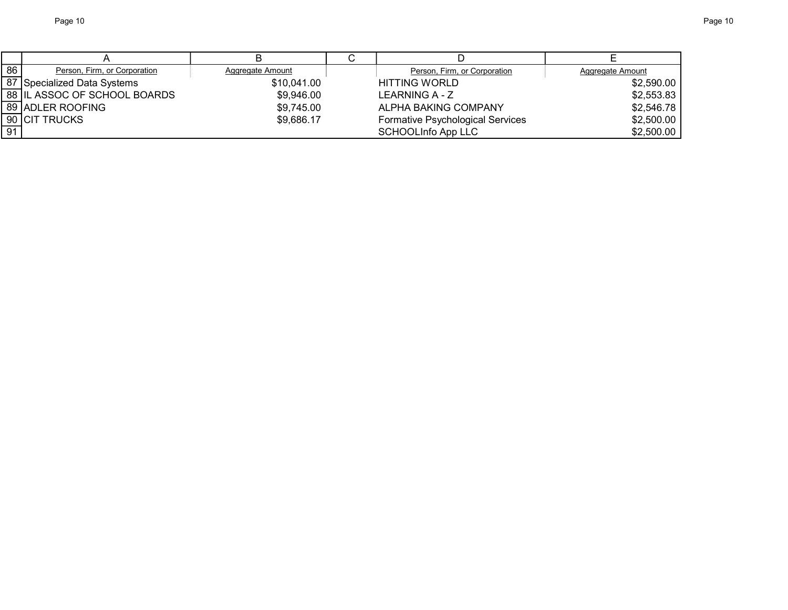| 86 | Person, Firm, or Corporation | Aggregate Amount | Person, Firm, or Corporation     | Aggregate Amount |
|----|------------------------------|------------------|----------------------------------|------------------|
|    | 87 Specialized Data Systems  | \$10,041.00      | <b>HITTING WORLD</b>             | \$2,590.00       |
|    | 88 IL ASSOC OF SCHOOL BOARDS | \$9,946.00       | LEARNING A - Z                   | \$2,553.83       |
|    | 89 ADLER ROOFING             | \$9,745.00       | ALPHA BAKING COMPANY             | \$2,546.78       |
|    | 90 <b>ICIT TRUCKS</b>        | \$9,686.17       | Formative Psychological Services | \$2,500.00       |
| 91 |                              |                  | <b>SCHOOLInfo App LLC</b>        | \$2,500.00       |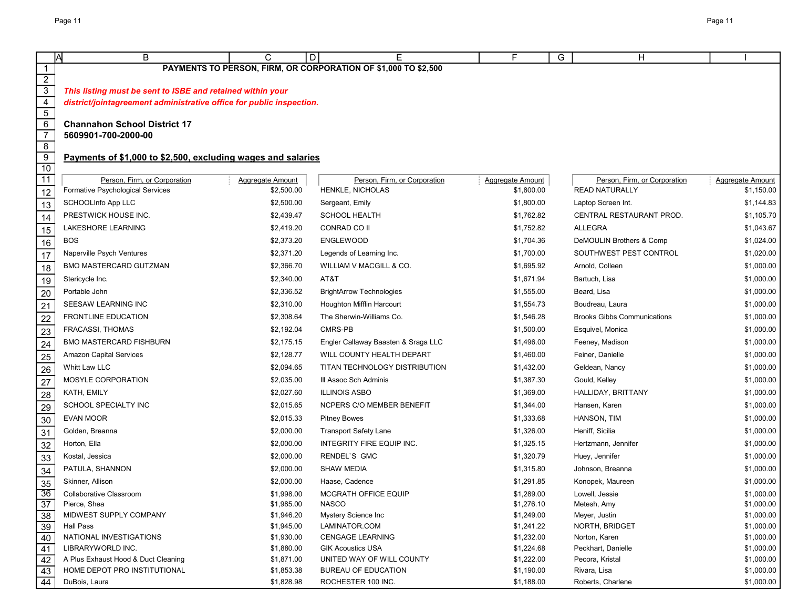|                                   | B<br>IΑ                                                              | C                        | E<br>D                                                         | F.<br>G                  | H                                  |                          |
|-----------------------------------|----------------------------------------------------------------------|--------------------------|----------------------------------------------------------------|--------------------------|------------------------------------|--------------------------|
| $\mathbf{1}$                      |                                                                      |                          | PAYMENTS TO PERSON, FIRM, OR CORPORATION OF \$1,000 TO \$2,500 |                          |                                    |                          |
|                                   |                                                                      |                          |                                                                |                          |                                    |                          |
| $\frac{2}{3}$                     | This listing must be sent to ISBE and retained within your           |                          |                                                                |                          |                                    |                          |
| $\overline{\mathbf{4}}$           | district/jointagreement administrative office for public inspection. |                          |                                                                |                          |                                    |                          |
| $\overline{5}$                    |                                                                      |                          |                                                                |                          |                                    |                          |
| $\overline{6}$                    | <b>Channahon School District 17</b>                                  |                          |                                                                |                          |                                    |                          |
| $\overline{7}$                    | 5609901-700-2000-00                                                  |                          |                                                                |                          |                                    |                          |
| $\overline{8}$                    |                                                                      |                          |                                                                |                          |                                    |                          |
| $\overline{9}$<br>$\overline{10}$ | Payments of \$1,000 to \$2,500, excluding wages and salaries         |                          |                                                                |                          |                                    |                          |
| 11                                | Person, Firm, or Corporation                                         | Aggregate Amount         | Person, Firm, or Corporation                                   | <b>Aggregate Amount</b>  | Person, Firm, or Corporation       | <b>Aggregate Amount</b>  |
| 12                                | Formative Psychological Services                                     | \$2,500.00               | HENKLE, NICHOLAS                                               | \$1,800.00               | <b>READ NATURALLY</b>              | \$1,150.00               |
| 13                                | <b>SCHOOLInfo App LLC</b>                                            | \$2,500.00               | Sergeant, Emily                                                | \$1,800.00               | Laptop Screen Int.                 | \$1,144.83               |
|                                   | PRESTWICK HOUSE INC.                                                 | \$2,439.47               | <b>SCHOOL HEALTH</b>                                           | \$1,762.82               | CENTRAL RESTAURANT PROD.           | \$1,105.70               |
| 14                                | LAKESHORE LEARNING                                                   | \$2,419.20               | CONRAD CO II                                                   | \$1,752.82               | <b>ALLEGRA</b>                     | \$1,043.67               |
| 15                                | <b>BOS</b>                                                           | \$2,373.20               | <b>ENGLEWOOD</b>                                               | \$1,704.36               | DeMOULIN Brothers & Comp           | \$1,024.00               |
| 16                                | Naperville Psych Ventures                                            | \$2,371.20               | Legends of Learning Inc.                                       | \$1,700.00               | SOUTHWEST PEST CONTROL             | \$1,020.00               |
| 17                                | BMO MASTERCARD GUTZMAN                                               | \$2,366.70               | WILLIAM V MACGILL & CO.                                        | \$1,695.92               | Arnold, Colleen                    | \$1,000.00               |
| 18                                | Stericycle Inc.                                                      | \$2,340.00               | AT&T                                                           | \$1,671.94               | Bartuch, Lisa                      | \$1,000.00               |
| 19                                | Portable John                                                        | \$2,336.52               | <b>BrightArrow Technologies</b>                                | \$1,555.00               | Beard, Lisa                        | \$1,000.00               |
| 20                                |                                                                      |                          | Houghton Mifflin Harcourt                                      |                          |                                    |                          |
| 21                                | SEESAW LEARNING INC                                                  | \$2,310.00               |                                                                | \$1,554.73               | Boudreau, Laura                    | \$1,000.00               |
| 22                                | <b>FRONTLINE EDUCATION</b>                                           | \$2,308.64               | The Sherwin-Williams Co.                                       | \$1,546.28               | <b>Brooks Gibbs Communications</b> | \$1,000.00               |
| 23                                | <b>FRACASSI, THOMAS</b>                                              | \$2,192.04               | CMRS-PB                                                        | \$1,500.00               | Esquivel, Monica                   | \$1,000.00               |
| 24                                | <b>BMO MASTERCARD FISHBURN</b>                                       | \$2,175.15               | Engler Callaway Baasten & Sraga LLC                            | \$1,496.00               | Feeney, Madison                    | \$1,000.00               |
| 25                                | <b>Amazon Capital Services</b>                                       | \$2,128.77               | WILL COUNTY HEALTH DEPART                                      | \$1,460.00               | Feiner, Danielle                   | \$1,000.00               |
| $\overline{26}$                   | Whitt Law LLC                                                        | \$2,094.65               | TITAN TECHNOLOGY DISTRIBUTION                                  | \$1,432.00               | Geldean, Nancy                     | \$1,000.00               |
| $\overline{27}$                   | MOSYLE CORPORATION                                                   | \$2,035.00               | III Assoc Sch Adminis                                          | \$1,387.30               | Gould, Kelley                      | \$1,000.00               |
| $\overline{28}$                   | KATH, EMILY                                                          | \$2,027.60               | <b>ILLINOIS ASBO</b>                                           | \$1,369.00               | HALLIDAY, BRITTANY                 | \$1,000.00               |
| 29                                | SCHOOL SPECIALTY INC                                                 | \$2,015.65               | <b>NCPERS C/O MEMBER BENEFIT</b>                               | \$1,344.00               | Hansen, Karen                      | \$1,000.00               |
| $\overline{30}$                   | <b>EVAN MOOR</b>                                                     | \$2,015.33               | <b>Pitney Bowes</b>                                            | \$1,333.68               | HANSON, TIM                        | \$1,000.00               |
| 31                                | Golden, Breanna                                                      | \$2,000.00               | <b>Transport Safety Lane</b>                                   | \$1,326.00               | Heniff, Sicilia                    | \$1,000.00               |
| 32                                | Horton, Ella                                                         | \$2,000.00               | INTEGRITY FIRE EQUIP INC.                                      | \$1,325.15               | Hertzmann, Jennifer                | \$1,000.00               |
| 33                                | Kostal, Jessica                                                      | \$2,000.00               | RENDEL'S GMC                                                   | \$1,320.79               | Huey, Jennifer                     | \$1,000.00               |
| 34                                | PATULA, SHANNON                                                      | \$2,000.00               | <b>SHAW MEDIA</b>                                              | \$1,315.80               | Johnson, Breanna                   | \$1,000.00               |
| 35                                | Skinner, Allison                                                     | \$2,000.00               | Haase, Cadence                                                 | \$1,291.85               | Konopek, Maureen                   | \$1,000.00               |
| 36                                | Collaborative Classroom                                              | \$1,998.00               | MCGRATH OFFICE EQUIP                                           | \$1,289.00               | Lowell, Jessie                     | \$1,000.00               |
| 37                                | Pierce, Shea                                                         | \$1,985.00               | <b>NASCO</b>                                                   | \$1,276.10               | Metesh, Amy                        | \$1,000.00               |
| 38                                | MIDWEST SUPPLY COMPANY                                               | \$1,946.20               | Mystery Science Inc                                            | \$1,249.00               | Meyer, Justin                      | \$1,000.00               |
| $\overline{39}$                   | <b>Hall Pass</b>                                                     | \$1,945.00               | LAMINATOR.COM                                                  | \$1,241.22               | NORTH, BRIDGET                     | \$1,000.00               |
| 40                                | NATIONAL INVESTIGATIONS                                              | \$1,930.00               | <b>CENGAGE LEARNING</b>                                        | \$1,232.00               | Norton, Karen                      | \$1,000.00               |
| 41                                | LIBRARYWORLD INC.                                                    | \$1,880.00               | <b>GIK Acoustics USA</b>                                       | \$1,224.68               | Peckhart, Danielle                 | \$1,000.00               |
| 42                                | A Plus Exhaust Hood & Duct Cleaning                                  | \$1,871.00               | UNITED WAY OF WILL COUNTY                                      | \$1,222.00               | Pecora, Kristal                    | \$1,000.00               |
| 43<br>44                          | HOME DEPOT PRO INSTITUTIONAL<br>DuBois, Laura                        | \$1,853.38<br>\$1,828.98 | <b>BUREAU OF EDUCATION</b><br>ROCHESTER 100 INC.               | \$1,190.00<br>\$1,188.00 | Rivara, Lisa<br>Roberts, Charlene  | \$1,000.00<br>\$1,000.00 |
|                                   |                                                                      |                          |                                                                |                          |                                    |                          |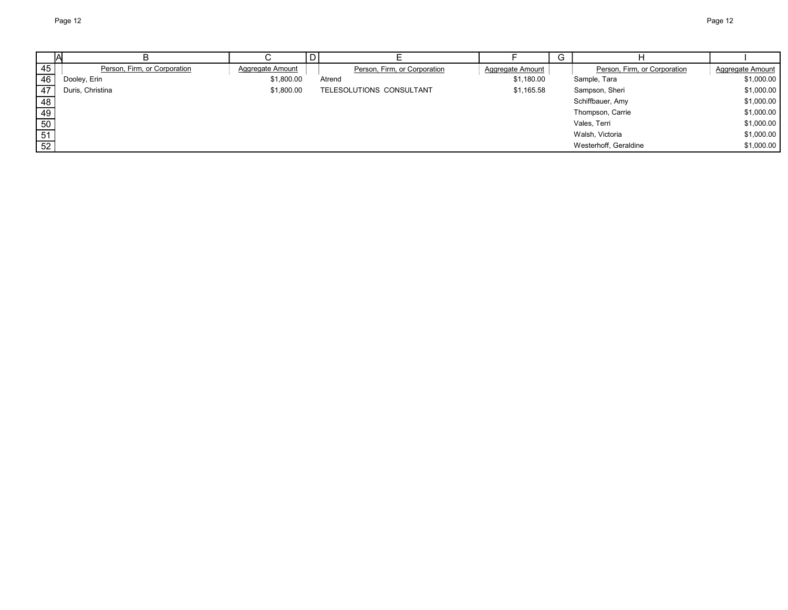|                 |                              |                  |                              |                  | G |                              |                  |
|-----------------|------------------------------|------------------|------------------------------|------------------|---|------------------------------|------------------|
| 45              | Person, Firm, or Corporation | Aggregate Amount | Person, Firm, or Corporation | Aggregate Amount |   | Person, Firm, or Corporation | Aggregate Amount |
| 46              | Dooley, Erin                 | \$1,800.00       | Atrend                       | \$1,180.00       |   | Sample, Tara                 | \$1,000.00       |
| 47              | Duris, Christina             | \$1,800.00       | TELESOLUTIONS CONSULTANT     | \$1,165.58       |   | Sampson, Sheri               | \$1,000.00       |
| 48              |                              |                  |                              |                  |   | Schiffbauer, Amy             | \$1,000.00       |
| 49              |                              |                  |                              |                  |   | Thompson, Carrie             | \$1,000.00       |
| 50              |                              |                  |                              |                  |   | Vales, Terri                 | \$1,000.00       |
|                 |                              |                  |                              |                  |   | Walsh, Victoria              | \$1,000.00       |
| $\frac{51}{52}$ |                              |                  |                              |                  |   | Westerhoff, Geraldine        | \$1,000.00       |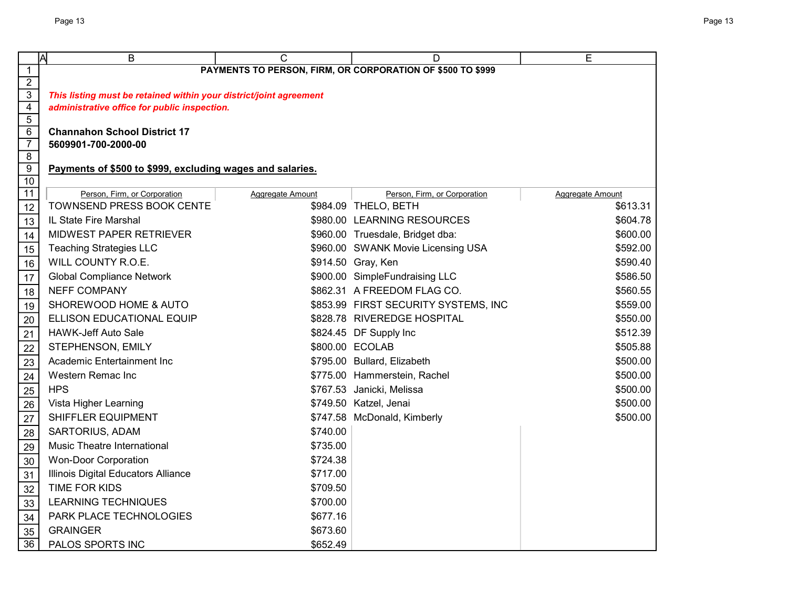|                     | Ā<br>B                                                             | C                | D                                    | E                |  |  |
|---------------------|--------------------------------------------------------------------|------------------|--------------------------------------|------------------|--|--|
| $\mathbf{1}$        | PAYMENTS TO PERSON, FIRM, OR CORPORATION OF \$500 TO \$999         |                  |                                      |                  |  |  |
| $\overline{2}$      |                                                                    |                  |                                      |                  |  |  |
| $\overline{3}$      | This listing must be retained within your district/joint agreement |                  |                                      |                  |  |  |
| $\overline{4}$      | administrative office for public inspection.                       |                  |                                      |                  |  |  |
| $\overline{5}$<br>6 | <b>Channahon School District 17</b>                                |                  |                                      |                  |  |  |
| $\overline{7}$      | 5609901-700-2000-00                                                |                  |                                      |                  |  |  |
| $\overline{8}$      |                                                                    |                  |                                      |                  |  |  |
| $\overline{9}$      | Payments of \$500 to \$999, excluding wages and salaries.          |                  |                                      |                  |  |  |
| $\overline{10}$     |                                                                    |                  |                                      |                  |  |  |
| 11                  | Person, Firm, or Corporation                                       | Aggregate Amount | Person, Firm, or Corporation         | Aggregate Amount |  |  |
| 12                  | TOWNSEND PRESS BOOK CENTE                                          |                  | \$984.09 THELO, BETH                 | \$613.31         |  |  |
| 13                  | IL State Fire Marshal                                              |                  | \$980.00 LEARNING RESOURCES          | \$604.78         |  |  |
| 14                  | MIDWEST PAPER RETRIEVER                                            |                  | \$960.00 Truesdale, Bridget dba:     | \$600.00         |  |  |
| 15                  | <b>Teaching Strategies LLC</b>                                     |                  | \$960.00 SWANK Movie Licensing USA   | \$592.00         |  |  |
| 16                  | WILL COUNTY R.O.E.                                                 |                  | \$914.50 Gray, Ken                   | \$590.40         |  |  |
| 17                  | <b>Global Compliance Network</b>                                   |                  | \$900.00 SimpleFundraising LLC       | \$586.50         |  |  |
| 18                  | <b>NEFF COMPANY</b>                                                |                  | \$862.31 A FREEDOM FLAG CO.          | \$560.55         |  |  |
| 19                  | SHOREWOOD HOME & AUTO                                              |                  | \$853.99 FIRST SECURITY SYSTEMS, INC | \$559.00         |  |  |
| 20                  | ELLISON EDUCATIONAL EQUIP                                          |                  | \$828.78 RIVEREDGE HOSPITAL          | \$550.00         |  |  |
| 21                  | <b>HAWK-Jeff Auto Sale</b>                                         |                  | \$824.45 DF Supply Inc               | \$512.39         |  |  |
| 22                  | STEPHENSON, EMILY                                                  |                  | \$800.00 ECOLAB                      | \$505.88         |  |  |
| 23                  | Academic Entertainment Inc                                         |                  | \$795.00 Bullard, Elizabeth          | \$500.00         |  |  |
| 24                  | Western Remac Inc                                                  |                  | \$775.00 Hammerstein, Rachel         | \$500.00         |  |  |
| 25                  | <b>HPS</b>                                                         |                  | \$767.53 Janicki, Melissa            | \$500.00         |  |  |
| 26                  | Vista Higher Learning                                              |                  | \$749.50 Katzel, Jenai               | \$500.00         |  |  |
| 27                  | SHIFFLER EQUIPMENT                                                 |                  | \$747.58 McDonald, Kimberly          | \$500.00         |  |  |
| 28                  | SARTORIUS, ADAM                                                    | \$740.00         |                                      |                  |  |  |
| 29                  | Music Theatre International                                        | \$735.00         |                                      |                  |  |  |
| 30                  | <b>Won-Door Corporation</b>                                        | \$724.38         |                                      |                  |  |  |
| 31                  | Illinois Digital Educators Alliance                                | \$717.00         |                                      |                  |  |  |
| 32                  | TIME FOR KIDS                                                      | \$709.50         |                                      |                  |  |  |
| 33                  | <b>LEARNING TECHNIQUES</b>                                         | \$700.00         |                                      |                  |  |  |
| 34                  | PARK PLACE TECHNOLOGIES                                            | \$677.16         |                                      |                  |  |  |
| 35                  | <b>GRAINGER</b>                                                    | \$673.60         |                                      |                  |  |  |
| $\overline{36}$     | PALOS SPORTS INC                                                   | \$652.49         |                                      |                  |  |  |